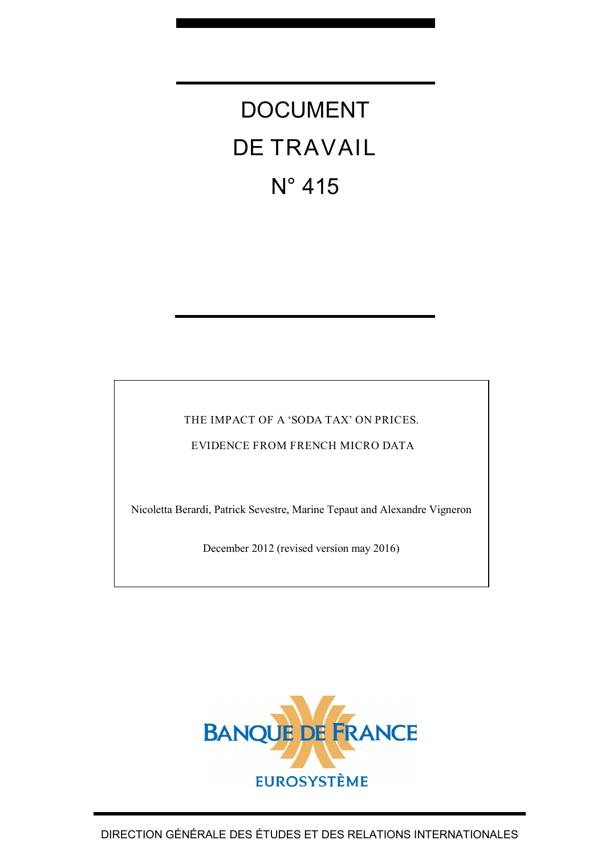# DOCUMENT DE TRAVAIL N° 415

THE IMPACT OF A 'SODA TAX' ON PRICES.

EVIDENCE FROM FRENCH MICRO DATA

Nicoletta Berardi, Patrick Sevestre, Marine Tepaut and Alexandre Vigneron

December 2012 (revised version may 2016)

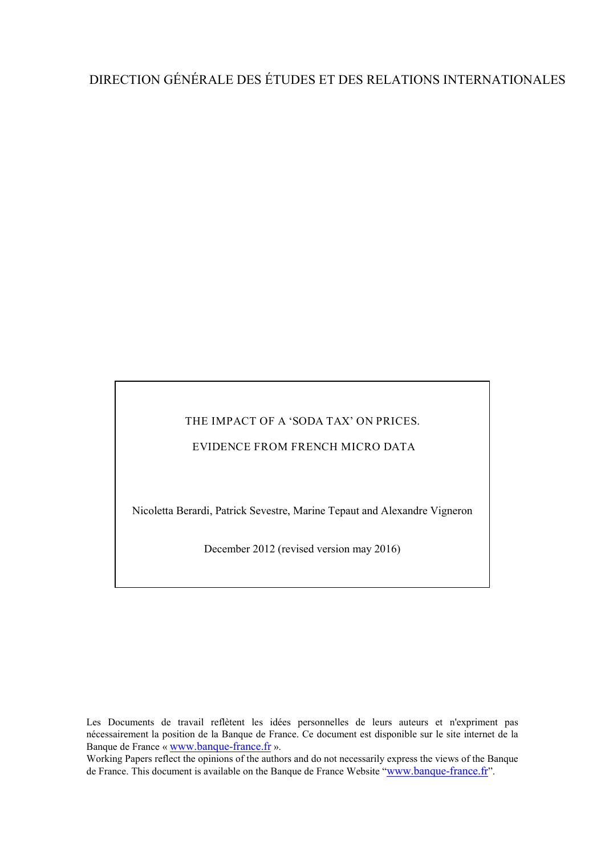### DIRECTION GÉNÉRALE DES ÉTUDES ET DES RELATIONS INTERNATIONALES

#### THE IMPACT OF A 'SODA TAX' ON PRICES.

#### EVIDENCE FROM FRENCH MICRO DATA

Nicoletta Berardi, Patrick Sevestre, Marine Tepaut and Alexandre Vigneron

December 2012 (revised version may 2016)

Les Documents de travail reflètent les idées personnelles de leurs auteurs et n'expriment pas nécessairement la position de la Banque de France. Ce document est disponible sur le site internet de la Banque de France « [www.banque-france.fr](http://www.banque-france.fr/) ».

Working Papers reflect the opinions of the authors and do not necessarily express the views of the Banque de France. This document is available on the Banque de France Website ["www.banque-france.fr"](http://www.banque-france.fr/).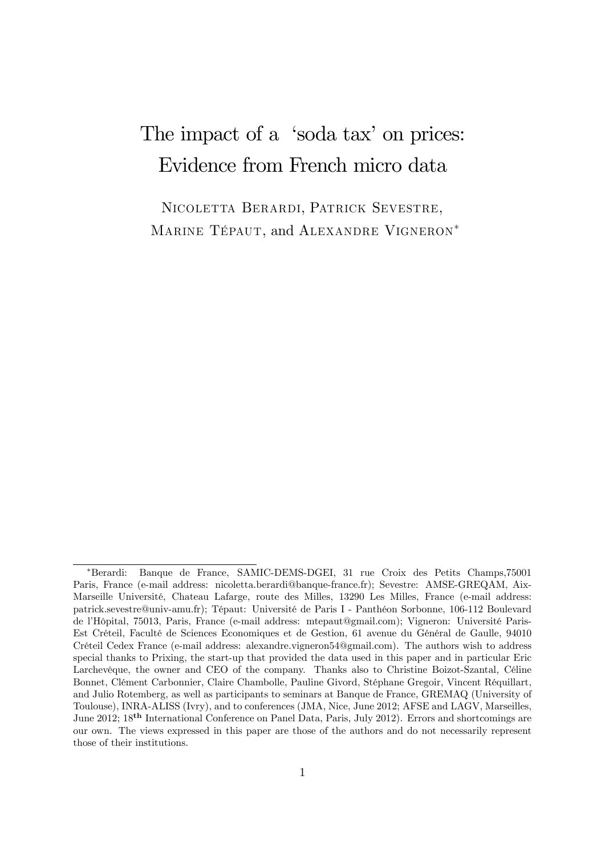# The impact of a 'soda tax' on prices: Evidence from French micro data

Nicoletta Berardi, Patrick Sevestre, MARINE TÉPAUT, and ALEXANDRE VIGNERON\*

Berardi: Banque de France, SAMIC-DEMS-DGEI, 31 rue Croix des Petits Champs,75001 Paris, France (e-mail address: nicoletta.berardi@banque-france.fr); Sevestre: AMSE-GREQAM, Aix-Marseille Université, Chateau Lafarge, route des Milles, 13290 Les Milles, France (e-mail address: patrick.sevestre@univ-amu.fr); Tépaut: Université de Paris I - Panthéon Sorbonne, 106-112 Boulevard de l'Hôpital, 75013, Paris, France (e-mail address: mtepaut@gmail.com); Vigneron: Université Paris-Est Créteil, Faculté de Sciences Economiques et de Gestion, 61 avenue du Général de Gaulle, 94010 Créteil Cedex France (e-mail address: alexandre.vigneron54@gmail.com). The authors wish to address special thanks to Prixing, the start-up that provided the data used in this paper and in particular Eric Larchevêque, the owner and CEO of the company. Thanks also to Christine Boizot-Szantal, Céline Bonnet, Clément Carbonnier, Claire Chambolle, Pauline Givord, Stéphane Gregoir, Vincent Réquillart, and Julio Rotemberg, as well as participants to seminars at Banque de France, GREMAQ (University of Toulouse), INRA-ALISS (Ivry), and to conferences (JMA, Nice, June 2012; AFSE and LAGV, Marseilles, June 2012; 18th International Conference on Panel Data, Paris, July 2012). Errors and shortcomings are our own. The views expressed in this paper are those of the authors and do not necessarily represent those of their institutions.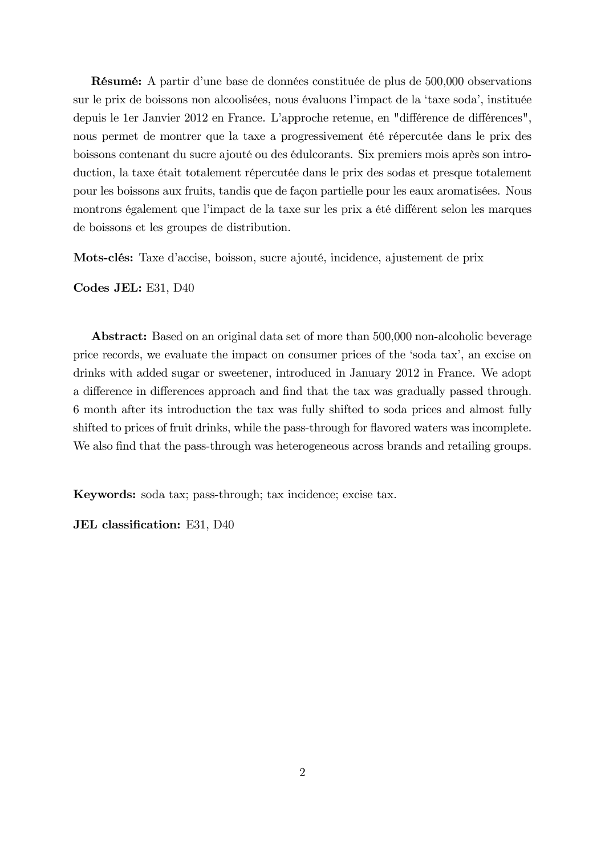Résumé: A partir d'une base de données constituée de plus de 500,000 observations sur le prix de boissons non alcoolisées, nous évaluons l'impact de la 'taxe soda', instituée depuis le 1er Janvier 2012 en France. L'approche retenue, en "différence de différences", nous permet de montrer que la taxe a progressivement été répercutée dans le prix des boissons contenant du sucre ajouté ou des édulcorants. Six premiers mois après son introduction, la taxe était totalement répercutée dans le prix des sodas et presque totalement pour les boissons aux fruits, tandis que de façon partielle pour les eaux aromatisées. Nous montrons également que l'impact de la taxe sur les prix a été différent selon les marques de boissons et les groupes de distribution.

Mots-clés: Taxe d'accise, boisson, sucre ajouté, incidence, ajustement de prix

Codes JEL: E31, D40

Abstract: Based on an original data set of more than 500,000 non-alcoholic beverage price records, we evaluate the impact on consumer prices of the ësoda taxí, an excise on drinks with added sugar or sweetener, introduced in January 2012 in France. We adopt a difference in differences approach and find that the tax was gradually passed through. 6 month after its introduction the tax was fully shifted to soda prices and almost fully shifted to prices of fruit drinks, while the pass-through for flavored waters was incomplete. We also find that the pass-through was heterogeneous across brands and retailing groups.

Keywords: soda tax; pass-through; tax incidence; excise tax.

JEL classification: E31, D40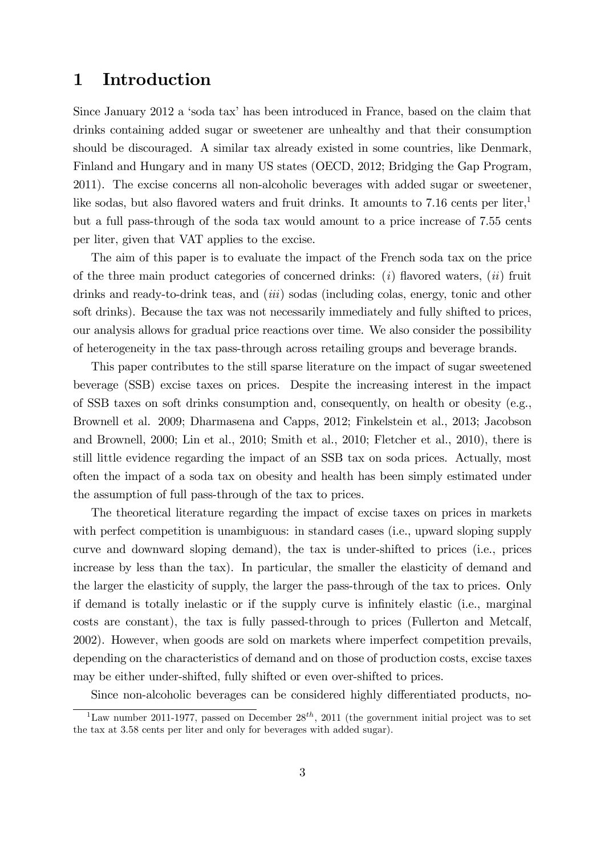### 1 Introduction

Since January 2012 a 'soda tax' has been introduced in France, based on the claim that drinks containing added sugar or sweetener are unhealthy and that their consumption should be discouraged. A similar tax already existed in some countries, like Denmark, Finland and Hungary and in many US states (OECD, 2012; Bridging the Gap Program, 2011). The excise concerns all non-alcoholic beverages with added sugar or sweetener, like sodas, but also flavored waters and fruit drinks. It amounts to  $7.16$  cents per liter,<sup>1</sup> but a full pass-through of the soda tax would amount to a price increase of 7.55 cents per liter, given that VAT applies to the excise.

The aim of this paper is to evaluate the impact of the French soda tax on the price of the three main product categories of concerned drinks:  $(i)$  flavored waters,  $(ii)$  fruit drinks and ready-to-drink teas, and *(iii)* sodas *(including colas, energy, tonic and other* soft drinks). Because the tax was not necessarily immediately and fully shifted to prices, our analysis allows for gradual price reactions over time. We also consider the possibility of heterogeneity in the tax pass-through across retailing groups and beverage brands.

This paper contributes to the still sparse literature on the impact of sugar sweetened beverage (SSB) excise taxes on prices. Despite the increasing interest in the impact of SSB taxes on soft drinks consumption and, consequently, on health or obesity (e.g., Brownell et al. 2009; Dharmasena and Capps, 2012; Finkelstein et al., 2013; Jacobson and Brownell, 2000; Lin et al., 2010; Smith et al., 2010; Fletcher et al., 2010), there is still little evidence regarding the impact of an SSB tax on soda prices. Actually, most often the impact of a soda tax on obesity and health has been simply estimated under the assumption of full pass-through of the tax to prices.

The theoretical literature regarding the impact of excise taxes on prices in markets with perfect competition is unambiguous: in standard cases (i.e., upward sloping supply curve and downward sloping demand), the tax is under-shifted to prices (i.e., prices increase by less than the tax). In particular, the smaller the elasticity of demand and the larger the elasticity of supply, the larger the pass-through of the tax to prices. Only if demand is totally inelastic or if the supply curve is infinitely elastic (i.e., marginal costs are constant), the tax is fully passed-through to prices (Fullerton and Metcalf, 2002). However, when goods are sold on markets where imperfect competition prevails, depending on the characteristics of demand and on those of production costs, excise taxes may be either under-shifted, fully shifted or even over-shifted to prices.

Since non-alcoholic beverages can be considered highly differentiated products, no-

<sup>&</sup>lt;sup>1</sup>Law number 2011-1977, passed on December  $28^{th}$ , 2011 (the government initial project was to set the tax at 3.58 cents per liter and only for beverages with added sugar).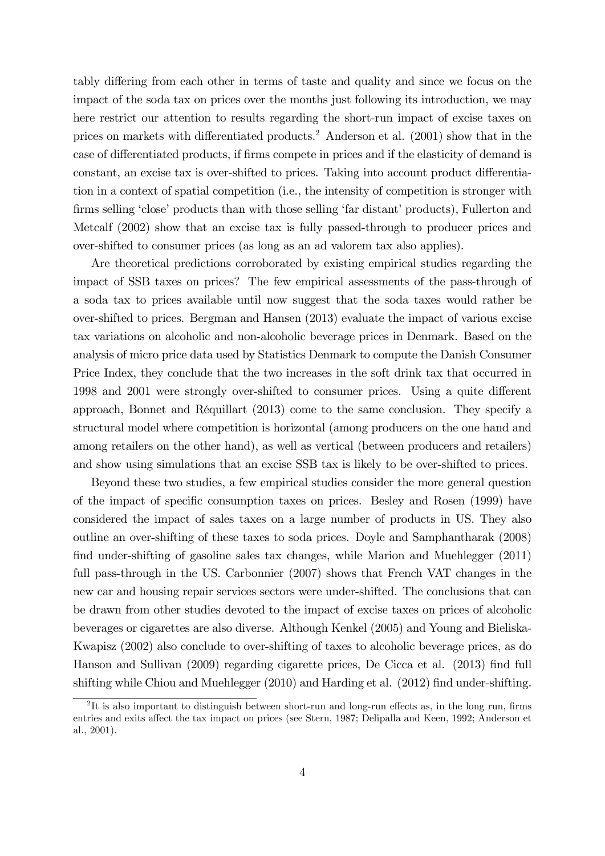tably differing from each other in terms of taste and quality and since we focus on the impact of the soda tax on prices over the months just following its introduction, we may here restrict our attention to results regarding the short-run impact of excise taxes on prices on markets with differentiated products.<sup>2</sup> Anderson et al.  $(2001)$  show that in the case of differentiated products, if firms compete in prices and if the elasticity of demand is constant, an excise tax is over-shifted to prices. Taking into account product differentiation in a context of spatial competition (i.e., the intensity of competition is stronger with firms selling 'close' products than with those selling 'far distant' products), Fullerton and Metcalf (2002) show that an excise tax is fully passed-through to producer prices and over-shifted to consumer prices (as long as an ad valorem tax also applies).

Are theoretical predictions corroborated by existing empirical studies regarding the impact of SSB taxes on prices? The few empirical assessments of the pass-through of a soda tax to prices available until now suggest that the soda taxes would rather be over-shifted to prices. Bergman and Hansen (2013) evaluate the impact of various excise tax variations on alcoholic and non-alcoholic beverage prices in Denmark. Based on the analysis of micro price data used by Statistics Denmark to compute the Danish Consumer Price Index, they conclude that the two increases in the soft drink tax that occurred in 1998 and 2001 were strongly over-shifted to consumer prices. Using a quite different approach, Bonnet and RÈquillart (2013) come to the same conclusion. They specify a structural model where competition is horizontal (among producers on the one hand and among retailers on the other hand), as well as vertical (between producers and retailers) and show using simulations that an excise SSB tax is likely to be over-shifted to prices.

Beyond these two studies, a few empirical studies consider the more general question of the impact of specific consumption taxes on prices. Besley and Rosen (1999) have considered the impact of sales taxes on a large number of products in US. They also outline an over-shifting of these taxes to soda prices. Doyle and Samphantharak (2008) find under-shifting of gasoline sales tax changes, while Marion and Muehlegger (2011) full pass-through in the US. Carbonnier (2007) shows that French VAT changes in the new car and housing repair services sectors were under-shifted. The conclusions that can be drawn from other studies devoted to the impact of excise taxes on prices of alcoholic beverages or cigarettes are also diverse. Although Kenkel (2005) and Young and Bieliska-Kwapisz (2002) also conclude to over-shifting of taxes to alcoholic beverage prices, as do Hanson and Sullivan (2009) regarding cigarette prices, De Cicca et al. (2013) find full shifting while Chiou and Muehlegger (2010) and Harding et al. (2012) find under-shifting.

<sup>&</sup>lt;sup>2</sup>It is also important to distinguish between short-run and long-run effects as, in the long run, firms entries and exits affect the tax impact on prices (see Stern, 1987; Delipalla and Keen, 1992; Anderson et al., 2001).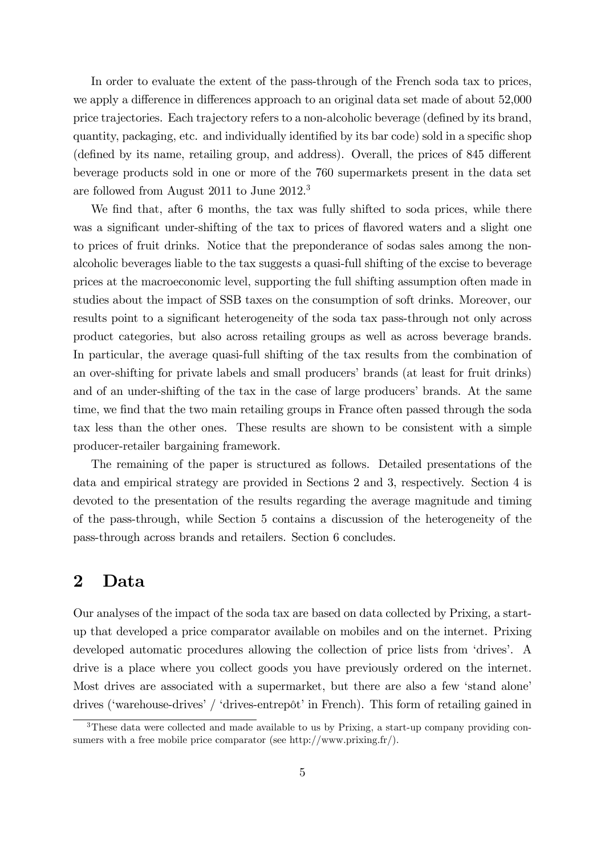In order to evaluate the extent of the pass-through of the French soda tax to prices, we apply a difference in differences approach to an original data set made of about 52,000 price trajectories. Each trajectory refers to a non-alcoholic beverage (defined by its brand, quantity, packaging, etc. and individually identified by its bar code) sold in a specific shop (defined by its name, retailing group, and address). Overall, the prices of 845 different beverage products sold in one or more of the 760 supermarkets present in the data set are followed from August 2011 to June 2012.<sup>3</sup>

We find that, after 6 months, the tax was fully shifted to soda prices, while there was a significant under-shifting of the tax to prices of flavored waters and a slight one to prices of fruit drinks. Notice that the preponderance of sodas sales among the nonalcoholic beverages liable to the tax suggests a quasi-full shifting of the excise to beverage prices at the macroeconomic level, supporting the full shifting assumption often made in studies about the impact of SSB taxes on the consumption of soft drinks. Moreover, our results point to a significant heterogeneity of the soda tax pass-through not only across product categories, but also across retailing groups as well as across beverage brands. In particular, the average quasi-full shifting of the tax results from the combination of an over-shifting for private labels and small producers' brands (at least for fruit drinks) and of an under-shifting of the tax in the case of large producers' brands. At the same time, we find that the two main retailing groups in France often passed through the soda tax less than the other ones. These results are shown to be consistent with a simple producer-retailer bargaining framework.

The remaining of the paper is structured as follows. Detailed presentations of the data and empirical strategy are provided in Sections 2 and 3, respectively. Section 4 is devoted to the presentation of the results regarding the average magnitude and timing of the pass-through, while Section 5 contains a discussion of the heterogeneity of the pass-through across brands and retailers. Section 6 concludes.

### 2 Data

Our analyses of the impact of the soda tax are based on data collected by Prixing, a startup that developed a price comparator available on mobiles and on the internet. Prixing developed automatic procedures allowing the collection of price lists from 'drives'. A drive is a place where you collect goods you have previously ordered on the internet. Most drives are associated with a supermarket, but there are also a few 'stand alone' drives ('warehouse-drives' / 'drives-entrepôt' in French). This form of retailing gained in

<sup>&</sup>lt;sup>3</sup>These data were collected and made available to us by Prixing, a start-up company providing consumers with a free mobile price comparator (see http://www.prixing.fr/).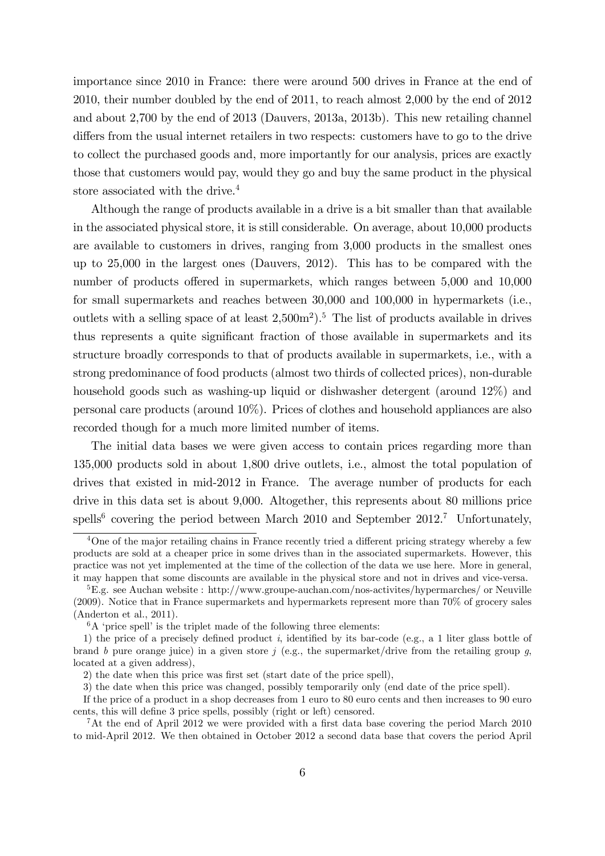importance since 2010 in France: there were around 500 drives in France at the end of 2010, their number doubled by the end of 2011, to reach almost 2,000 by the end of 2012 and about 2,700 by the end of 2013 (Dauvers, 2013a, 2013b). This new retailing channel differs from the usual internet retailers in two respects: customers have to go to the drive to collect the purchased goods and, more importantly for our analysis, prices are exactly those that customers would pay, would they go and buy the same product in the physical store associated with the drive.<sup>4</sup>

Although the range of products available in a drive is a bit smaller than that available in the associated physical store, it is still considerable. On average, about 10,000 products are available to customers in drives, ranging from 3,000 products in the smallest ones up to 25,000 in the largest ones (Dauvers, 2012). This has to be compared with the number of products offered in supermarkets, which ranges between 5,000 and 10,000 for small supermarkets and reaches between 30,000 and 100,000 in hypermarkets (i.e., outlets with a selling space of at least  $2{,}500<sup>m</sup>2$ .<sup>5</sup> The list of products available in drives thus represents a quite significant fraction of those available in supermarkets and its structure broadly corresponds to that of products available in supermarkets, i.e., with a strong predominance of food products (almost two thirds of collected prices), non-durable household goods such as washing-up liquid or dishwasher detergent (around 12%) and personal care products (around 10%). Prices of clothes and household appliances are also recorded though for a much more limited number of items.

The initial data bases we were given access to contain prices regarding more than 135,000 products sold in about 1,800 drive outlets, i.e., almost the total population of drives that existed in mid-2012 in France. The average number of products for each drive in this data set is about 9,000. Altogether, this represents about 80 millions price spells<sup>6</sup> covering the period between March 2010 and September 2012.<sup>7</sup> Unfortunately,

 $4$ One of the major retailing chains in France recently tried a different pricing strategy whereby a few products are sold at a cheaper price in some drives than in the associated supermarkets. However, this practice was not yet implemented at the time of the collection of the data we use here. More in general, it may happen that some discounts are available in the physical store and not in drives and vice-versa.

<sup>&</sup>lt;sup>5</sup>E.g. see Auchan website : http://www.groupe-auchan.com/nos-activites/hypermarches/ or Neuville (2009). Notice that in France supermarkets and hypermarkets represent more than 70% of grocery sales (Anderton et al., 2011).

 ${}^{6}A$  'price spell' is the triplet made of the following three elements:

<sup>1)</sup> the price of a precisely defined product i, identified by its bar-code (e.g., a 1 liter glass bottle of brand b pure orange juice) in a given store j (e.g., the supermarket/drive from the retailing group g, located at a given address),

<sup>2)</sup> the date when this price was first set (start date of the price spell),

<sup>3)</sup> the date when this price was changed, possibly temporarily only (end date of the price spell).

If the price of a product in a shop decreases from 1 euro to 80 euro cents and then increases to 90 euro cents, this will define 3 price spells, possibly (right or left) censored.

 $7$ At the end of April 2012 we were provided with a first data base covering the period March 2010 to mid-April 2012. We then obtained in October 2012 a second data base that covers the period April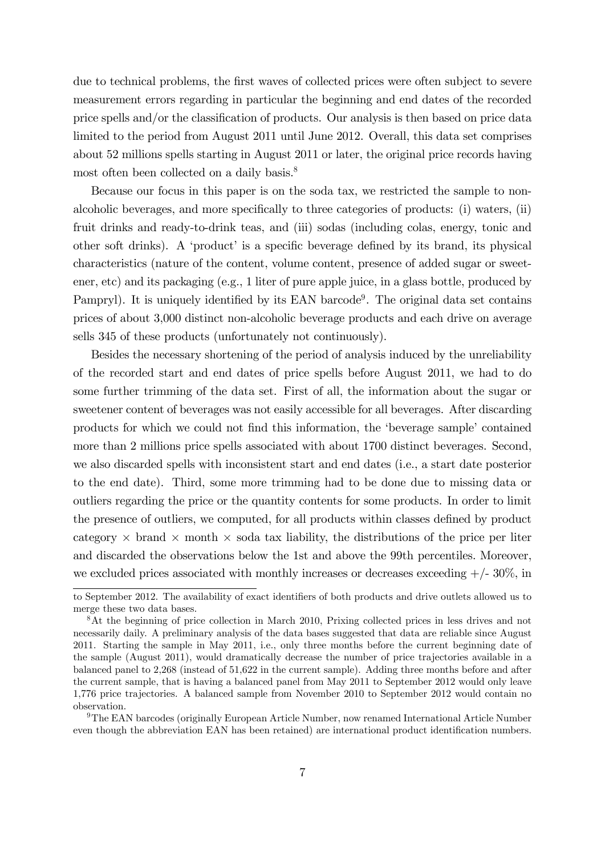due to technical problems, the first waves of collected prices were often subject to severe measurement errors regarding in particular the beginning and end dates of the recorded price spells and/or the classification of products. Our analysis is then based on price data limited to the period from August 2011 until June 2012. Overall, this data set comprises about 52 millions spells starting in August 2011 or later, the original price records having most often been collected on a daily basis.<sup>8</sup>

Because our focus in this paper is on the soda tax, we restricted the sample to nonalcoholic beverages, and more specifically to three categories of products:  $(i)$  waters,  $(ii)$ fruit drinks and ready-to-drink teas, and (iii) sodas (including colas, energy, tonic and other soft drinks). A 'product' is a specific beverage defined by its brand, its physical characteristics (nature of the content, volume content, presence of added sugar or sweetener, etc) and its packaging (e.g., 1 liter of pure apple juice, in a glass bottle, produced by Pampryl). It is uniquely identified by its EAN barcode<sup>9</sup>. The original data set contains prices of about 3,000 distinct non-alcoholic beverage products and each drive on average sells 345 of these products (unfortunately not continuously).

Besides the necessary shortening of the period of analysis induced by the unreliability of the recorded start and end dates of price spells before August 2011, we had to do some further trimming of the data set. First of all, the information about the sugar or sweetener content of beverages was not easily accessible for all beverages. After discarding products for which we could not find this information, the 'beverage sample' contained more than 2 millions price spells associated with about 1700 distinct beverages. Second, we also discarded spells with inconsistent start and end dates (i.e., a start date posterior to the end date). Third, some more trimming had to be done due to missing data or outliers regarding the price or the quantity contents for some products. In order to limit the presence of outliers, we computed, for all products within classes defined by product category  $\times$  brand  $\times$  month  $\times$  soda tax liability, the distributions of the price per liter and discarded the observations below the 1st and above the 99th percentiles. Moreover, we excluded prices associated with monthly increases or decreases exceeding  $+/- 30\%$ , in

<sup>9</sup>The EAN barcodes (originally European Article Number, now renamed International Article Number even though the abbreviation EAN has been retained) are international product identification numbers.

to September 2012. The availability of exact identifiers of both products and drive outlets allowed us to merge these two data bases.

<sup>&</sup>lt;sup>8</sup>At the beginning of price collection in March 2010, Prixing collected prices in less drives and not necessarily daily. A preliminary analysis of the data bases suggested that data are reliable since August 2011. Starting the sample in May 2011, i.e., only three months before the current beginning date of the sample (August 2011), would dramatically decrease the number of price trajectories available in a balanced panel to 2,268 (instead of 51,622 in the current sample). Adding three months before and after the current sample, that is having a balanced panel from May 2011 to September 2012 would only leave 1,776 price trajectories. A balanced sample from November 2010 to September 2012 would contain no observation.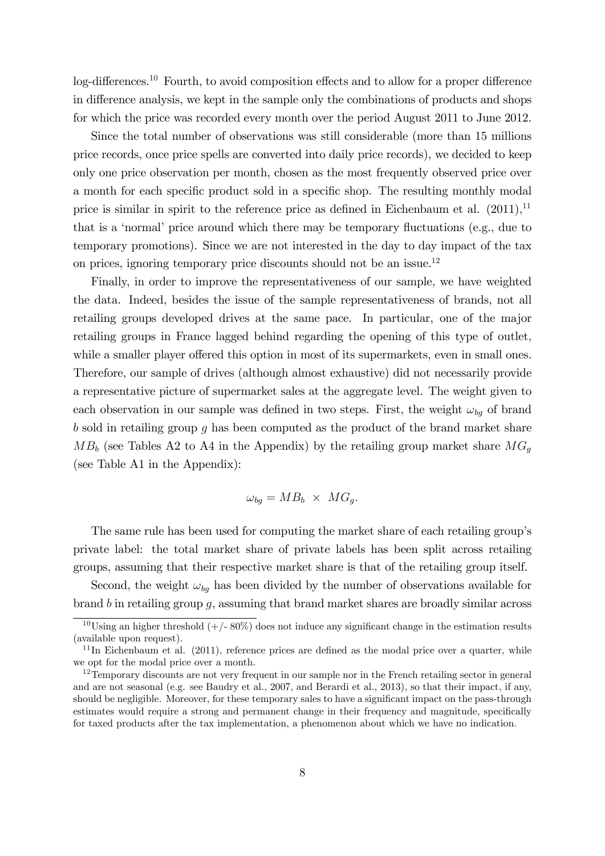$log$ -differences.<sup>10</sup> Fourth, to avoid composition effects and to allow for a proper difference in difference analysis, we kept in the sample only the combinations of products and shops for which the price was recorded every month over the period August 2011 to June 2012.

Since the total number of observations was still considerable (more than 15 millions price records, once price spells are converted into daily price records), we decided to keep only one price observation per month, chosen as the most frequently observed price over a month for each specific product sold in a specific shop. The resulting monthly modal price is similar in spirit to the reference price as defined in Eichenbaum et al.  $(2011)^{11}$ that is a 'normal' price around which there may be temporary fluctuations (e.g., due to temporary promotions). Since we are not interested in the day to day impact of the tax on prices, ignoring temporary price discounts should not be an issue.<sup>12</sup>

Finally, in order to improve the representativeness of our sample, we have weighted the data. Indeed, besides the issue of the sample representativeness of brands, not all retailing groups developed drives at the same pace. In particular, one of the major retailing groups in France lagged behind regarding the opening of this type of outlet, while a smaller player offered this option in most of its supermarkets, even in small ones. Therefore, our sample of drives (although almost exhaustive) did not necessarily provide a representative picture of supermarket sales at the aggregate level. The weight given to each observation in our sample was defined in two steps. First, the weight  $\omega_{bq}$  of brand  $b$  sold in retailing group  $q$  has been computed as the product of the brand market share  $MB<sub>b</sub>$  (see Tables A2 to A4 in the Appendix) by the retailing group market share  $MG<sub>q</sub>$ (see Table A1 in the Appendix):

$$
\omega_{bg} = MB_b \times MG_g.
$$

The same rule has been used for computing the market share of each retailing group's private label: the total market share of private labels has been split across retailing groups, assuming that their respective market share is that of the retailing group itself.

Second, the weight  $\omega_{ba}$  has been divided by the number of observations available for brand b in retailing group g, assuming that brand market shares are broadly similar across

<sup>&</sup>lt;sup>10</sup>Using an higher threshold  $(+/- 80\%)$  does not induce any significant change in the estimation results (available upon request).

 $11$ In Eichenbaum et al. (2011), reference prices are defined as the modal price over a quarter, while we opt for the modal price over a month.

<sup>&</sup>lt;sup>12</sup>Temporary discounts are not very frequent in our sample nor in the French retailing sector in general and are not seasonal (e.g. see Baudry et al., 2007, and Berardi et al., 2013), so that their impact, if any, should be negligible. Moreover, for these temporary sales to have a significant impact on the pass-through estimates would require a strong and permanent change in their frequency and magnitude, specifically for taxed products after the tax implementation, a phenomenon about which we have no indication.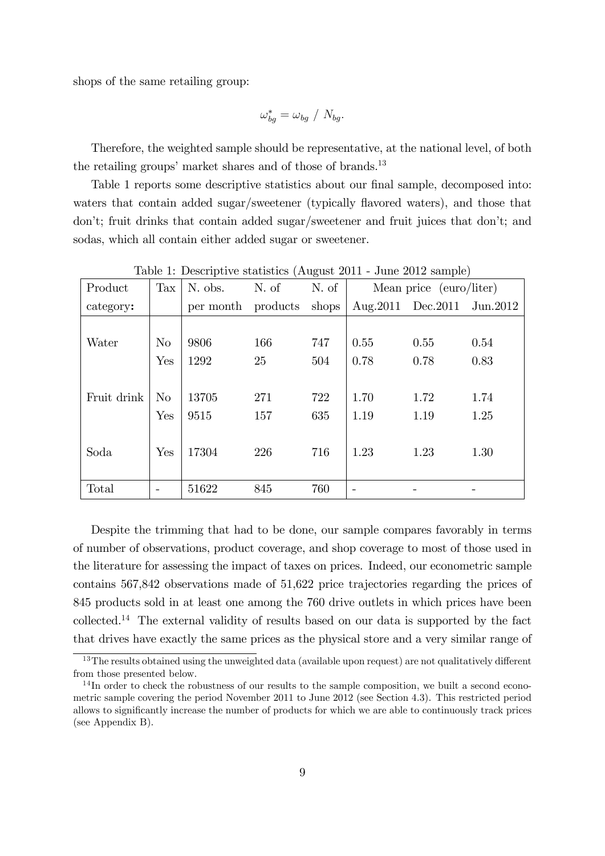shops of the same retailing group:

$$
\omega_{bg}^* = \omega_{bg} / N_{bg}.
$$

Therefore, the weighted sample should be representative, at the national level, of both the retailing groups' market shares and of those of brands. $^{13}$ 

Table 1 reports some descriptive statistics about our final sample, decomposed into: waters that contain added sugar/sweetener (typically flavored waters), and those that donít; fruit drinks that contain added sugar/sweetener and fruit juices that donít; and sodas, which all contain either added sugar or sweetener.

| Product     | Tax      | N. obs.                  | N. of | N. of |      | Mean price (euro/liter)    |      |
|-------------|----------|--------------------------|-------|-------|------|----------------------------|------|
| category:   |          | per month products shops |       |       |      | Aug.2011 Dec.2011 Jun.2012 |      |
|             |          |                          |       |       |      |                            |      |
| Water       | $\rm No$ | 9806                     | 166   | 747   | 0.55 | 0.55                       | 0.54 |
|             | Yes      | 1292                     | 25    | 504   | 0.78 | 0.78                       | 0.83 |
|             |          |                          |       |       |      |                            |      |
| Fruit drink | $\rm No$ | 13705                    | 271   | 722   | 1.70 | 1.72                       | 1.74 |
|             | Yes      | 9515                     | 157   | 635   | 1.19 | 1.19                       | 1.25 |
|             |          |                          |       |       |      |                            |      |
| Soda        | Yes      | 17304                    | 226   | 716   | 1.23 | 1.23                       | 1.30 |
|             |          |                          |       |       |      |                            |      |
| Total       |          | 51622                    | 845   | 760   |      |                            |      |

Table 1: Descriptive statistics (August 2011 - June 2012 sample)

Despite the trimming that had to be done, our sample compares favorably in terms of number of observations, product coverage, and shop coverage to most of those used in the literature for assessing the impact of taxes on prices. Indeed, our econometric sample contains 567,842 observations made of 51,622 price trajectories regarding the prices of 845 products sold in at least one among the 760 drive outlets in which prices have been collected.<sup>14</sup> The external validity of results based on our data is supported by the fact that drives have exactly the same prices as the physical store and a very similar range of

 $13$ The results obtained using the unweighted data (available upon request) are not qualitatively different from those presented below.

<sup>&</sup>lt;sup>14</sup>In order to check the robustness of our results to the sample composition, we built a second econometric sample covering the period November 2011 to June 2012 (see Section 4.3). This restricted period allows to significantly increase the number of products for which we are able to continuously track prices (see Appendix B).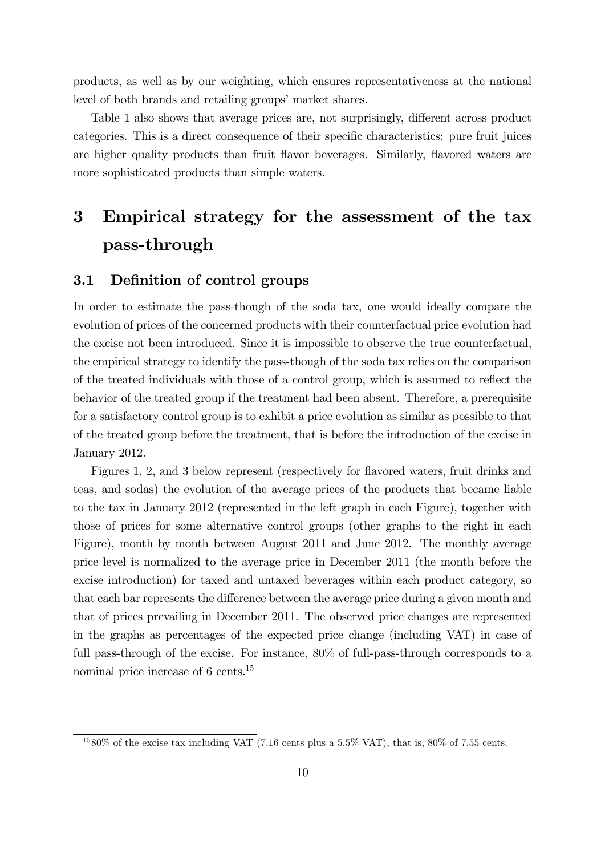products, as well as by our weighting, which ensures representativeness at the national level of both brands and retailing groups' market shares.

Table 1 also shows that average prices are, not surprisingly, different across product categories. This is a direct consequence of their specific characteristics: pure fruit juices are higher quality products than fruit áavor beverages. Similarly, áavored waters are more sophisticated products than simple waters.

# 3 Empirical strategy for the assessment of the tax pass-through

#### 3.1 Definition of control groups

In order to estimate the pass-though of the soda tax, one would ideally compare the evolution of prices of the concerned products with their counterfactual price evolution had the excise not been introduced. Since it is impossible to observe the true counterfactual, the empirical strategy to identify the pass-though of the soda tax relies on the comparison of the treated individuals with those of a control group, which is assumed to reáect the behavior of the treated group if the treatment had been absent. Therefore, a prerequisite for a satisfactory control group is to exhibit a price evolution as similar as possible to that of the treated group before the treatment, that is before the introduction of the excise in January 2012.

Figures 1, 2, and 3 below represent (respectively for flavored waters, fruit drinks and teas, and sodas) the evolution of the average prices of the products that became liable to the tax in January 2012 (represented in the left graph in each Figure), together with those of prices for some alternative control groups (other graphs to the right in each Figure), month by month between August 2011 and June 2012. The monthly average price level is normalized to the average price in December 2011 (the month before the excise introduction) for taxed and untaxed beverages within each product category, so that each bar represents the difference between the average price during a given month and that of prices prevailing in December 2011. The observed price changes are represented in the graphs as percentages of the expected price change (including VAT) in case of full pass-through of the excise. For instance, 80% of full-pass-through corresponds to a nominal price increase of 6 cents.<sup>15</sup>

 $1580\%$  of the excise tax including VAT (7.16 cents plus a 5.5% VAT), that is, 80% of 7.55 cents.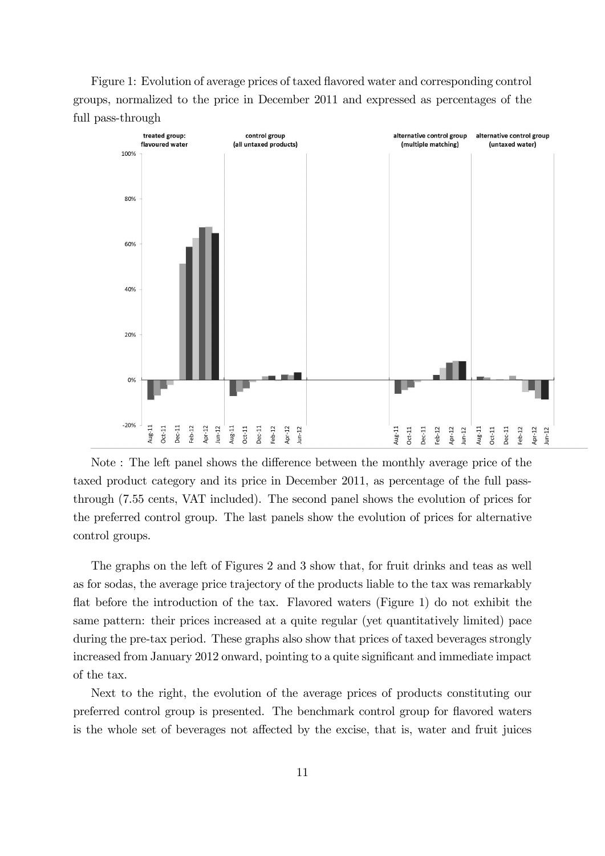Figure 1: Evolution of average prices of taxed flavored water and corresponding control groups, normalized to the price in December 2011 and expressed as percentages of the full pass-through



Note: The left panel shows the difference between the monthly average price of the taxed product category and its price in December 2011, as percentage of the full passthrough (7.55 cents, VAT included). The second panel shows the evolution of prices for the preferred control group. The last panels show the evolution of prices for alternative control groups.

The graphs on the left of Figures 2 and 3 show that, for fruit drinks and teas as well as for sodas, the average price trajectory of the products liable to the tax was remarkably flat before the introduction of the tax. Flavored waters (Figure 1) do not exhibit the same pattern: their prices increased at a quite regular (yet quantitatively limited) pace during the pre-tax period. These graphs also show that prices of taxed beverages strongly increased from January 2012 onward, pointing to a quite significant and immediate impact of the tax.

Next to the right, the evolution of the average prices of products constituting our preferred control group is presented. The benchmark control group for áavored waters is the whole set of beverages not affected by the excise, that is, water and fruit juices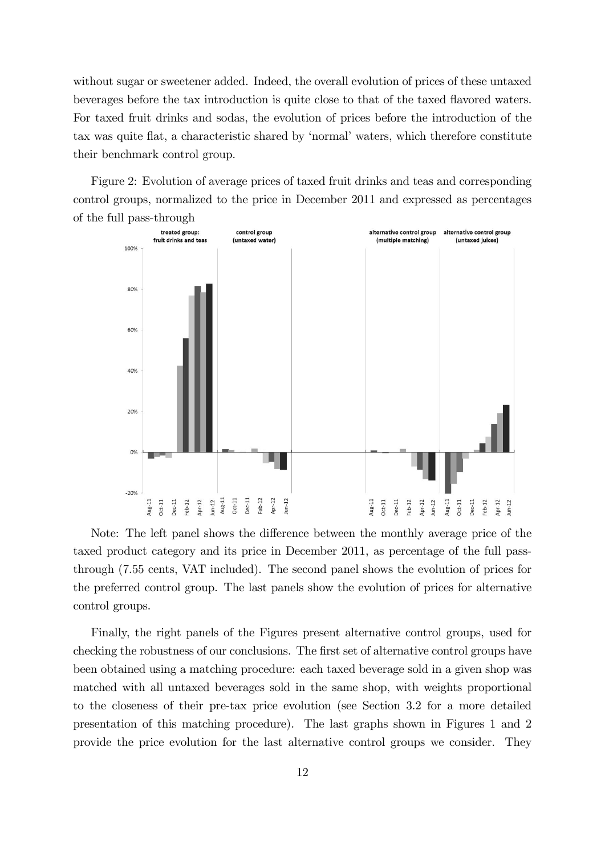without sugar or sweetener added. Indeed, the overall evolution of prices of these untaxed beverages before the tax introduction is quite close to that of the taxed flavored waters. For taxed fruit drinks and sodas, the evolution of prices before the introduction of the tax was quite flat, a characteristic shared by 'normal' waters, which therefore constitute their benchmark control group.

Figure 2: Evolution of average prices of taxed fruit drinks and teas and corresponding control groups, normalized to the price in December 2011 and expressed as percentages of the full pass-through



Note: The left panel shows the difference between the monthly average price of the taxed product category and its price in December 2011, as percentage of the full passthrough (7.55 cents, VAT included). The second panel shows the evolution of prices for the preferred control group. The last panels show the evolution of prices for alternative control groups.

Finally, the right panels of the Figures present alternative control groups, used for checking the robustness of our conclusions. The first set of alternative control groups have been obtained using a matching procedure: each taxed beverage sold in a given shop was matched with all untaxed beverages sold in the same shop, with weights proportional to the closeness of their pre-tax price evolution (see Section 3.2 for a more detailed presentation of this matching procedure). The last graphs shown in Figures 1 and 2 provide the price evolution for the last alternative control groups we consider. They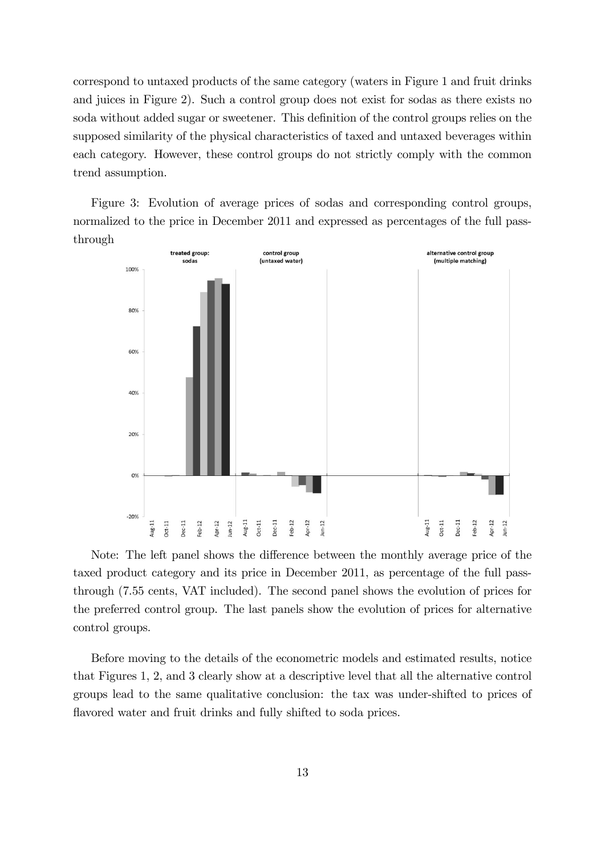correspond to untaxed products of the same category (waters in Figure 1 and fruit drinks and juices in Figure 2). Such a control group does not exist for sodas as there exists no soda without added sugar or sweetener. This definition of the control groups relies on the supposed similarity of the physical characteristics of taxed and untaxed beverages within each category. However, these control groups do not strictly comply with the common trend assumption.

Figure 3: Evolution of average prices of sodas and corresponding control groups, normalized to the price in December 2011 and expressed as percentages of the full passthrough



Note: The left panel shows the difference between the monthly average price of the taxed product category and its price in December 2011, as percentage of the full passthrough (7.55 cents, VAT included). The second panel shows the evolution of prices for the preferred control group. The last panels show the evolution of prices for alternative control groups.

Before moving to the details of the econometric models and estimated results, notice that Figures 1, 2, and 3 clearly show at a descriptive level that all the alternative control groups lead to the same qualitative conclusion: the tax was under-shifted to prices of flavored water and fruit drinks and fully shifted to soda prices.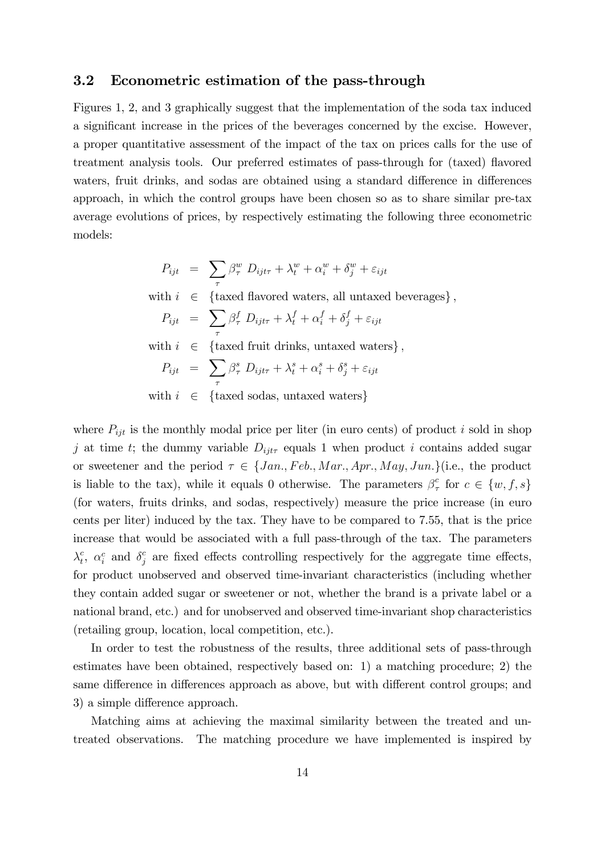#### 3.2 Econometric estimation of the pass-through

Figures 1, 2, and 3 graphically suggest that the implementation of the soda tax induced a significant increase in the prices of the beverages concerned by the excise. However, a proper quantitative assessment of the impact of the tax on prices calls for the use of treatment analysis tools. Our preferred estimates of pass-through for (taxed) flavored waters, fruit drinks, and sodas are obtained using a standard difference in differences approach, in which the control groups have been chosen so as to share similar pre-tax average evolutions of prices, by respectively estimating the following three econometric models:

$$
P_{ijt} = \sum_{\tau} \beta_{\tau}^{w} D_{ijt\tau} + \lambda_{t}^{w} + \alpha_{i}^{w} + \delta_{j}^{w} + \varepsilon_{ijt}
$$
  
with  $i \in \{\text{taxed flavored waters, all untaxed beverages}\},$   

$$
P_{ijt} = \sum_{\tau} \beta_{\tau}^{f} D_{ijt\tau} + \lambda_{t}^{f} + \alpha_{i}^{f} + \delta_{j}^{f} + \varepsilon_{ijt}
$$
  
with  $i \in \{\text{taxed fruit drinks, untaxed waters}\},$   

$$
P_{ijt} = \sum_{\tau} \beta_{\tau}^{s} D_{ijt\tau} + \lambda_{t}^{s} + \alpha_{i}^{s} + \delta_{j}^{s} + \varepsilon_{ijt}
$$
  
with  $i \in \{\text{taxed sodas, untaxed waters}\}$ 

where  $P_{ijt}$  is the monthly modal price per liter (in euro cents) of product i sold in shop j at time t; the dummy variable  $D_{ijt\tau}$  equals 1 when product i contains added sugar or sweetener and the period  $\tau \in \{Jan., Feb., Mar., Apr., May, Jun.\}$  (i.e., the product is liable to the tax), while it equals 0 otherwise. The parameters  $\beta^c_i$  $\int_{\tau}^{c}$  for  $c \in \{w, f, s\}$ (for waters, fruits drinks, and sodas, respectively) measure the price increase (in euro cents per liter) induced by the tax. They have to be compared to 7.55, that is the price increase that would be associated with a full pass-through of the tax. The parameters  $\lambda_t^c$  $\epsilon_t^c$ ,  $\alpha_i^c$  and  $\delta_j^c$  are fixed effects controlling respectively for the aggregate time effects, for product unobserved and observed time-invariant characteristics (including whether they contain added sugar or sweetener or not, whether the brand is a private label or a national brand, etc.) and for unobserved and observed time-invariant shop characteristics (retailing group, location, local competition, etc.).

In order to test the robustness of the results, three additional sets of pass-through estimates have been obtained, respectively based on: 1) a matching procedure; 2) the same difference in differences approach as above, but with different control groups; and 3) a simple difference approach.

Matching aims at achieving the maximal similarity between the treated and untreated observations. The matching procedure we have implemented is inspired by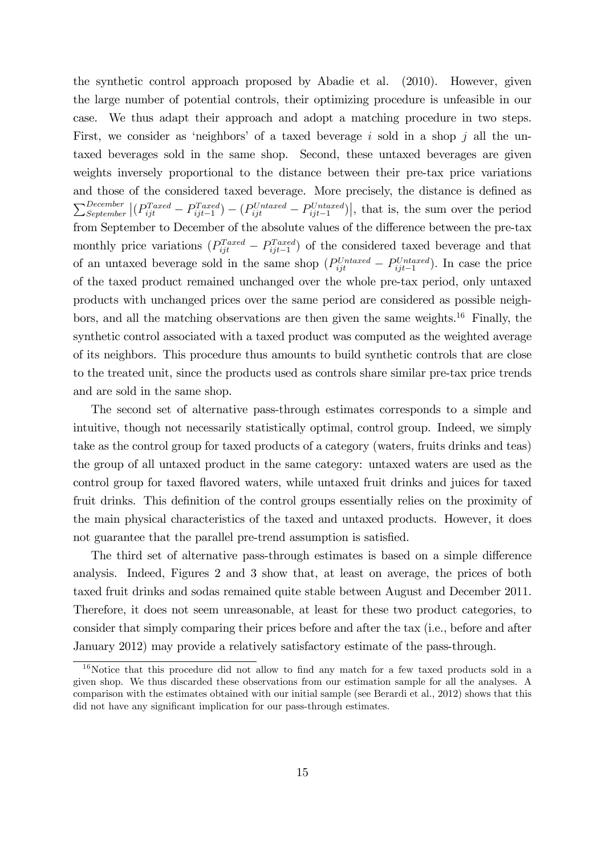the synthetic control approach proposed by Abadie et al. (2010). However, given the large number of potential controls, their optimizing procedure is unfeasible in our case. We thus adapt their approach and adopt a matching procedure in two steps. First, we consider as 'neighbors' of a taxed beverage i sold in a shop j all the untaxed beverages sold in the same shop. Second, these untaxed beverages are given weights inversely proportional to the distance between their pre-tax price variations and those of the considered taxed beverage. More precisely, the distance is defined as  $\sum_{September}^{December} |(P_{ijt}^{Taxed} - P_{ijt-1}^{Taxed}) - (P_{ijt}^{Untaxed} - P_{ijt-1}^{Untaxed})|$ , that is, the sum over the period from September to December of the absolute values of the difference between the pre-tax monthly price variations  $(P_{ijt}^{Taxed} - P_{ijt-1}^{Taxed})$  of the considered taxed beverage and that of an untaxed beverage sold in the same shop  $(P_{ijt}^{Untaxed} - P_{ijt-1}^{Untaxed})$ . In case the price of the taxed product remained unchanged over the whole pre-tax period, only untaxed products with unchanged prices over the same period are considered as possible neighbors, and all the matching observations are then given the same weights.<sup>16</sup> Finally, the synthetic control associated with a taxed product was computed as the weighted average of its neighbors. This procedure thus amounts to build synthetic controls that are close to the treated unit, since the products used as controls share similar pre-tax price trends and are sold in the same shop.

The second set of alternative pass-through estimates corresponds to a simple and intuitive, though not necessarily statistically optimal, control group. Indeed, we simply take as the control group for taxed products of a category (waters, fruits drinks and teas) the group of all untaxed product in the same category: untaxed waters are used as the control group for taxed flavored waters, while untaxed fruit drinks and juices for taxed fruit drinks. This definition of the control groups essentially relies on the proximity of the main physical characteristics of the taxed and untaxed products. However, it does not guarantee that the parallel pre-trend assumption is satisfied.

The third set of alternative pass-through estimates is based on a simple difference analysis. Indeed, Figures 2 and 3 show that, at least on average, the prices of both taxed fruit drinks and sodas remained quite stable between August and December 2011. Therefore, it does not seem unreasonable, at least for these two product categories, to consider that simply comparing their prices before and after the tax (i.e., before and after January 2012) may provide a relatively satisfactory estimate of the pass-through.

 $16$ Notice that this procedure did not allow to find any match for a few taxed products sold in a given shop. We thus discarded these observations from our estimation sample for all the analyses. A comparison with the estimates obtained with our initial sample (see Berardi et al., 2012) shows that this did not have any significant implication for our pass-through estimates.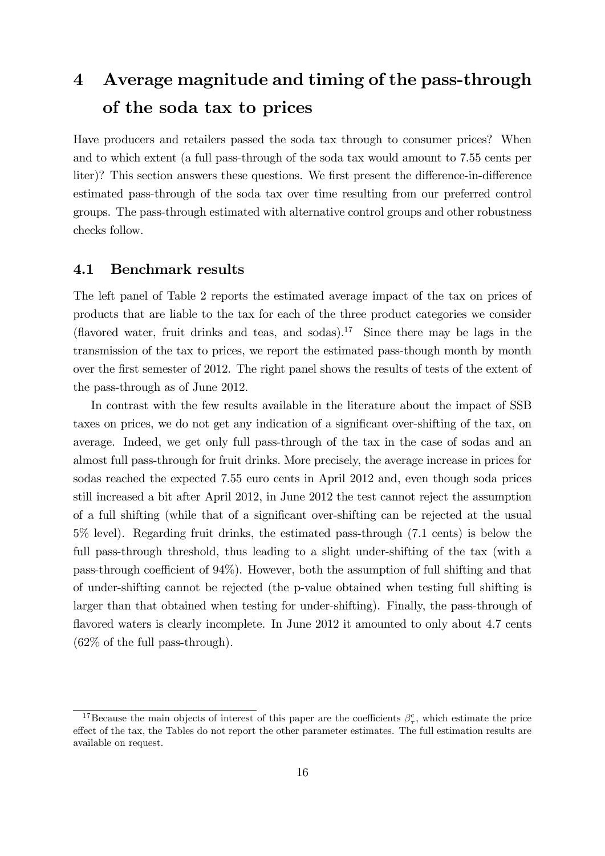# 4 Average magnitude and timing of the pass-through of the soda tax to prices

Have producers and retailers passed the soda tax through to consumer prices? When and to which extent (a full pass-through of the soda tax would amount to 7.55 cents per liter)? This section answers these questions. We first present the difference-in-difference estimated pass-through of the soda tax over time resulting from our preferred control groups. The pass-through estimated with alternative control groups and other robustness checks follow.

#### 4.1 Benchmark results

The left panel of Table 2 reports the estimated average impact of the tax on prices of products that are liable to the tax for each of the three product categories we consider (flavored water, fruit drinks and teas, and sodas).<sup>17</sup> Since there may be lags in the transmission of the tax to prices, we report the estimated pass-though month by month over the first semester of 2012. The right panel shows the results of tests of the extent of the pass-through as of June 2012.

In contrast with the few results available in the literature about the impact of SSB taxes on prices, we do not get any indication of a significant over-shifting of the tax, on average. Indeed, we get only full pass-through of the tax in the case of sodas and an almost full pass-through for fruit drinks. More precisely, the average increase in prices for sodas reached the expected 7.55 euro cents in April 2012 and, even though soda prices still increased a bit after April 2012, in June 2012 the test cannot reject the assumption of a full shifting (while that of a significant over-shifting can be rejected at the usual 5% level). Regarding fruit drinks, the estimated pass-through (7.1 cents) is below the full pass-through threshold, thus leading to a slight under-shifting of the tax (with a pass-through coefficient of  $94\%$ ). However, both the assumption of full shifting and that of under-shifting cannot be rejected (the p-value obtained when testing full shifting is larger than that obtained when testing for under-shifting). Finally, the pass-through of flavored waters is clearly incomplete. In June 2012 it amounted to only about 4.7 cents (62% of the full pass-through).

<sup>&</sup>lt;sup>17</sup>Because the main objects of interest of this paper are the coefficients  $\beta_{\tau}^{c}$ , which estimate the price effect of the tax, the Tables do not report the other parameter estimates. The full estimation results are available on request.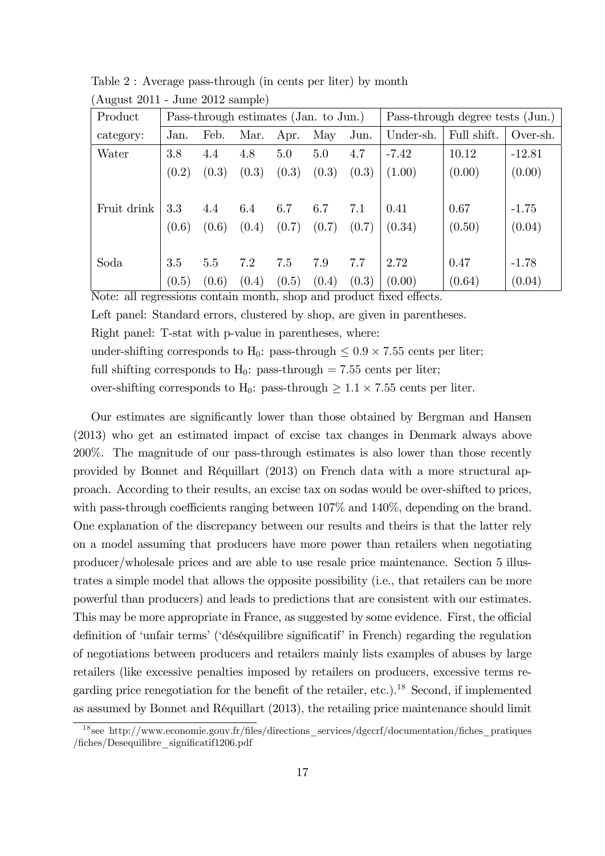| Product     |       | Pass-through estimates (Jan. to Jun.) |       |       |       |       |           | Pass-through degree tests (Jun.) |          |  |
|-------------|-------|---------------------------------------|-------|-------|-------|-------|-----------|----------------------------------|----------|--|
| category:   | Jan.  | Feb.                                  | Mar.  | Apr.  | May   | Jun.  | Under-sh. | Full shift.                      | Over-sh. |  |
| Water       | 3.8   | 4.4                                   | 4.8   | 5.0   | 5.0   | 4.7   | $-7.42$   | 10.12                            | $-12.81$ |  |
|             | (0.2) | (0.3)                                 | (0.3) | (0.3) | (0.3) | (0.3) | (1.00)    | (0.00)                           | (0.00)   |  |
|             |       |                                       |       |       |       |       |           |                                  |          |  |
| Fruit drink | 3.3   | 4.4                                   | 6.4   | 6.7   | 6.7   | 7.1   | 0.41      | 0.67                             | $-1.75$  |  |
|             | (0.6) | (0.6)                                 | (0.4) | (0.7) | (0.7) | (0.7) | (0.34)    | (0.50)                           | (0.04)   |  |
|             |       |                                       |       |       |       |       |           |                                  |          |  |
| Soda        | 3.5   | 5.5                                   | 7.2   | 7.5   | 7.9   | 7.7   | 2.72      | 0.47                             | $-1.78$  |  |
|             | (0.5) | (0.6)                                 | (0.4) | (0.5) | (0.4) | (0.3) | (0.00)    | (0.64)                           | (0.04)   |  |

Table 2 : Average pass-through (in cents per liter) by month (August 2011 - June 2012 sample)

Note: all regressions contain month, shop and product fixed effects.

Left panel: Standard errors, clustered by shop, are given in parentheses.

Right panel: T-stat with p-value in parentheses, where:

under-shifting corresponds to  $H_0$ : pass-through  $\leq 0.9 \times 7.55$  cents per liter;

full shifting corresponds to  $H_0$ : pass-through = 7.55 cents per liter;

over-shifting corresponds to  $H_0$ : pass-through  $\geq 1.1 \times 7.55$  cents per liter.

Our estimates are significantly lower than those obtained by Bergman and Hansen (2013) who get an estimated impact of excise tax changes in Denmark always above 200%. The magnitude of our pass-through estimates is also lower than those recently provided by Bonnet and Réquillart (2013) on French data with a more structural approach. According to their results, an excise tax on sodas would be over-shifted to prices, with pass-through coefficients ranging between  $107\%$  and  $140\%$ , depending on the brand. One explanation of the discrepancy between our results and theirs is that the latter rely on a model assuming that producers have more power than retailers when negotiating producer/wholesale prices and are able to use resale price maintenance. Section 5 illustrates a simple model that allows the opposite possibility (i.e., that retailers can be more powerful than producers) and leads to predictions that are consistent with our estimates. This may be more appropriate in France, as suggested by some evidence. First, the official definition of 'unfair terms' ('déséquilibre significatif' in French) regarding the regulation of negotiations between producers and retailers mainly lists examples of abuses by large retailers (like excessive penalties imposed by retailers on producers, excessive terms regarding price renegotiation for the benefit of the retailer, etc.).<sup>18</sup> Second, if implemented as assumed by Bonnet and RÈquillart (2013), the retailing price maintenance should limit

<sup>&</sup>lt;sup>18</sup> see http://www.economie.gouv.fr/files/directions services/dgccrf/documentation/fiches pratiques /fiches/Desequilibre\_significatif1206.pdf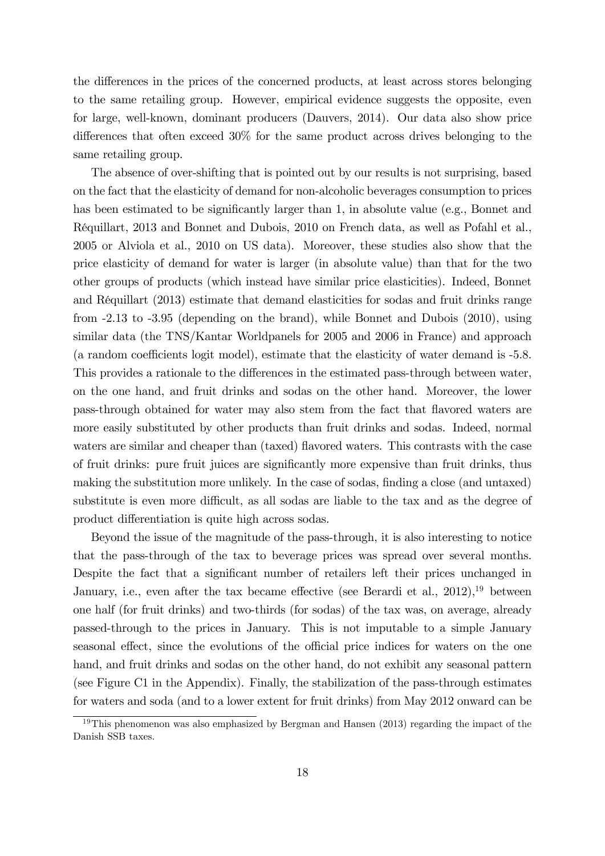the differences in the prices of the concerned products, at least across stores belonging to the same retailing group. However, empirical evidence suggests the opposite, even for large, well-known, dominant producers (Dauvers, 2014). Our data also show price differences that often exceed  $30\%$  for the same product across drives belonging to the same retailing group.

The absence of over-shifting that is pointed out by our results is not surprising, based on the fact that the elasticity of demand for non-alcoholic beverages consumption to prices has been estimated to be significantly larger than 1, in absolute value (e.g., Bonnet and RÈquillart, 2013 and Bonnet and Dubois, 2010 on French data, as well as Pofahl et al., 2005 or Alviola et al., 2010 on US data). Moreover, these studies also show that the price elasticity of demand for water is larger (in absolute value) than that for the two other groups of products (which instead have similar price elasticities). Indeed, Bonnet and RÈquillart (2013) estimate that demand elasticities for sodas and fruit drinks range from -2.13 to -3.95 (depending on the brand), while Bonnet and Dubois (2010), using similar data (the TNS/Kantar Worldpanels for 2005 and 2006 in France) and approach (a random coefficients logit model), estimate that the elasticity of water demand is -5.8. This provides a rationale to the differences in the estimated pass-through between water, on the one hand, and fruit drinks and sodas on the other hand. Moreover, the lower pass-through obtained for water may also stem from the fact that flavored waters are more easily substituted by other products than fruit drinks and sodas. Indeed, normal waters are similar and cheaper than (taxed) flavored waters. This contrasts with the case of fruit drinks: pure fruit juices are significantly more expensive than fruit drinks, thus making the substitution more unlikely. In the case of sodas, finding a close (and untaxed) substitute is even more difficult, as all sodas are liable to the tax and as the degree of product differentiation is quite high across sodas.

Beyond the issue of the magnitude of the pass-through, it is also interesting to notice that the pass-through of the tax to beverage prices was spread over several months. Despite the fact that a significant number of retailers left their prices unchanged in January, i.e., even after the tax became effective (see Berardi et al.,  $2012$ ),<sup>19</sup> between one half (for fruit drinks) and two-thirds (for sodas) of the tax was, on average, already passed-through to the prices in January. This is not imputable to a simple January seasonal effect, since the evolutions of the official price indices for waters on the one hand, and fruit drinks and sodas on the other hand, do not exhibit any seasonal pattern (see Figure C1 in the Appendix). Finally, the stabilization of the pass-through estimates for waters and soda (and to a lower extent for fruit drinks) from May 2012 onward can be

<sup>&</sup>lt;sup>19</sup>This phenomenon was also emphasized by Bergman and Hansen  $(2013)$  regarding the impact of the Danish SSB taxes.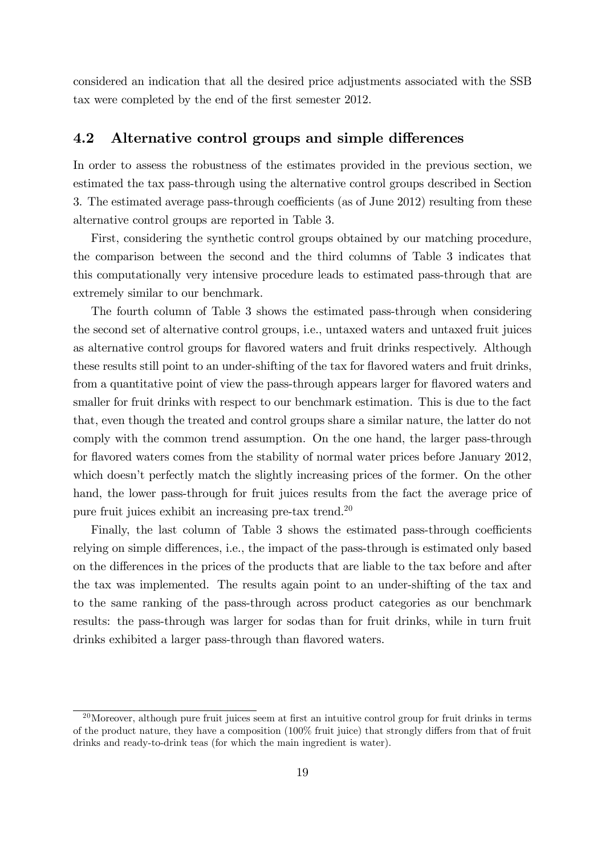considered an indication that all the desired price adjustments associated with the SSB tax were completed by the end of the first semester 2012.

#### 4.2 Alternative control groups and simple differences

In order to assess the robustness of the estimates provided in the previous section, we estimated the tax pass-through using the alternative control groups described in Section 3. The estimated average pass-through coefficients (as of June 2012) resulting from these alternative control groups are reported in Table 3.

First, considering the synthetic control groups obtained by our matching procedure, the comparison between the second and the third columns of Table 3 indicates that this computationally very intensive procedure leads to estimated pass-through that are extremely similar to our benchmark.

The fourth column of Table 3 shows the estimated pass-through when considering the second set of alternative control groups, i.e., untaxed waters and untaxed fruit juices as alternative control groups for áavored waters and fruit drinks respectively. Although these results still point to an under-shifting of the tax for flavored waters and fruit drinks, from a quantitative point of view the pass-through appears larger for flavored waters and smaller for fruit drinks with respect to our benchmark estimation. This is due to the fact that, even though the treated and control groups share a similar nature, the latter do not comply with the common trend assumption. On the one hand, the larger pass-through for flavored waters comes from the stability of normal water prices before January 2012, which doesn't perfectly match the slightly increasing prices of the former. On the other hand, the lower pass-through for fruit juices results from the fact the average price of pure fruit juices exhibit an increasing pre-tax trend.<sup>20</sup>

Finally, the last column of Table 3 shows the estimated pass-through coefficients relying on simple differences, i.e., the impact of the pass-through is estimated only based on the differences in the prices of the products that are liable to the tax before and after the tax was implemented. The results again point to an under-shifting of the tax and to the same ranking of the pass-through across product categories as our benchmark results: the pass-through was larger for sodas than for fruit drinks, while in turn fruit drinks exhibited a larger pass-through than flavored waters.

 $^{20}$ Moreover, although pure fruit juices seem at first an intuitive control group for fruit drinks in terms of the product nature, they have a composition  $(100\%$  fruit juice) that strongly differs from that of fruit drinks and ready-to-drink teas (for which the main ingredient is water).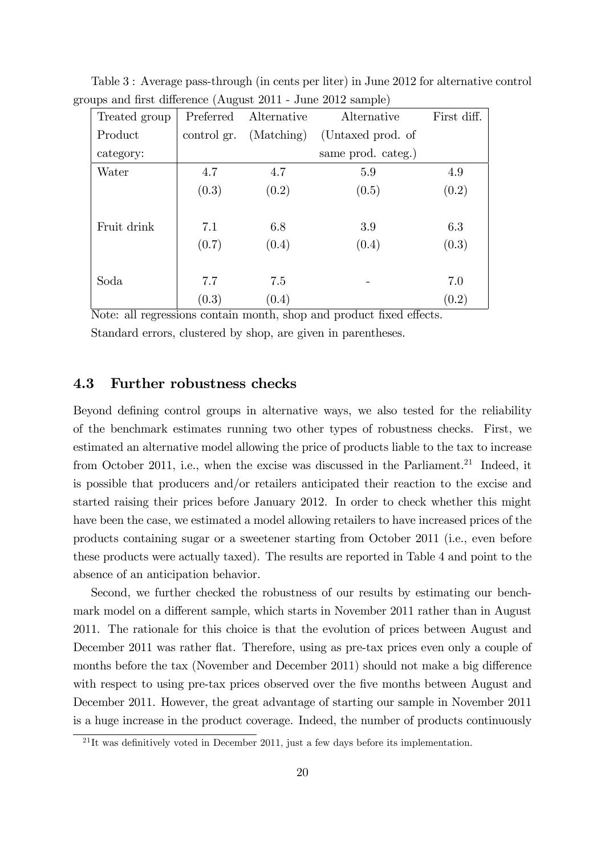| Treated group | Preferred   | Alternative | Alternative        | First diff. |
|---------------|-------------|-------------|--------------------|-------------|
| Product       | control gr. | (Matching)  | (Untaxed prod. of  |             |
| category:     |             |             | same prod. categ.) |             |
| Water         | 4.7         | 4.7         | 5.9                | 4.9         |
|               | (0.3)       | (0.2)       | (0.5)              | (0.2)       |
|               |             |             |                    |             |
| Fruit drink   | 7.1         | 6.8         | 3.9                | 6.3         |
|               | (0.7)       | (0.4)       | (0.4)              | (0.3)       |
|               |             |             |                    |             |
| Soda          | 7.7         | 7.5         |                    | 7.0         |
|               | (0.3)       | (0.4)       |                    | (0.2)       |

Table 3 : Average pass-through (in cents per liter) in June 2012 for alternative control groups and first difference (August 2011 - June 2012 sample)

Note: all regressions contain month, shop and product fixed effects.

Standard errors, clustered by shop, are given in parentheses.

#### 4.3 Further robustness checks

Beyond defining control groups in alternative ways, we also tested for the reliability of the benchmark estimates running two other types of robustness checks. First, we estimated an alternative model allowing the price of products liable to the tax to increase from October 2011, i.e., when the excise was discussed in the Parliament.<sup>21</sup> Indeed, it is possible that producers and/or retailers anticipated their reaction to the excise and started raising their prices before January 2012. In order to check whether this might have been the case, we estimated a model allowing retailers to have increased prices of the products containing sugar or a sweetener starting from October 2011 (i.e., even before these products were actually taxed). The results are reported in Table 4 and point to the absence of an anticipation behavior.

Second, we further checked the robustness of our results by estimating our benchmark model on a different sample, which starts in November 2011 rather than in August 2011. The rationale for this choice is that the evolution of prices between August and December 2011 was rather flat. Therefore, using as pre-tax prices even only a couple of months before the tax (November and December 2011) should not make a big difference with respect to using pre-tax prices observed over the five months between August and December 2011. However, the great advantage of starting our sample in November 2011 is a huge increase in the product coverage. Indeed, the number of products continuously

 $^{21}$ It was definitively voted in December 2011, just a few days before its implementation.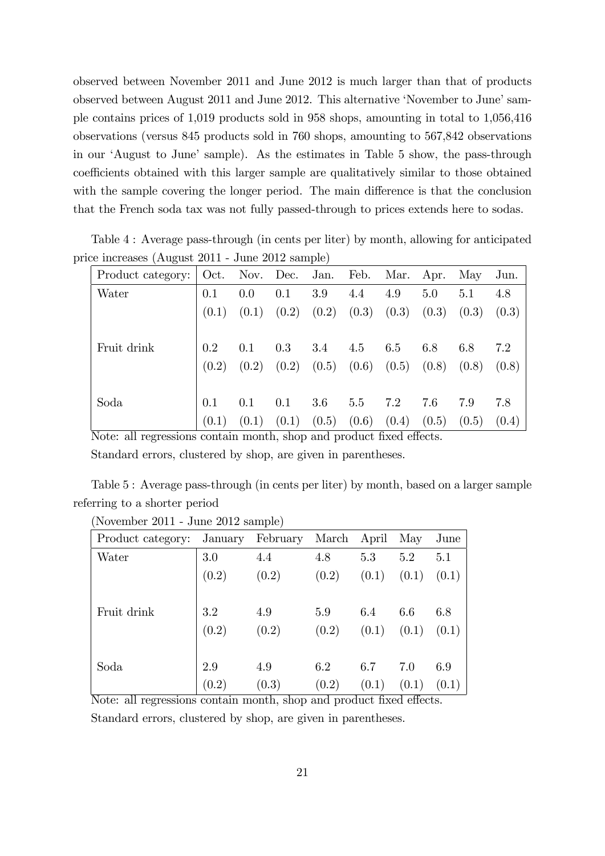observed between November 2011 and June 2012 is much larger than that of products observed between August 2011 and June 2012. This alternative 'November to June' sample contains prices of 1,019 products sold in 958 shops, amounting in total to 1,056,416 observations (versus 845 products sold in 760 shops, amounting to 567,842 observations in our 'August to June' sample). As the estimates in Table 5 show, the pass-through coefficients obtained with this larger sample are qualitatively similar to those obtained with the sample covering the longer period. The main difference is that the conclusion that the French soda tax was not fully passed-through to prices extends here to sodas.

| ice increases (August 2011 - June 2012 sample) |         |         |     |     |                           |                                                                 |     |     |       |
|------------------------------------------------|---------|---------|-----|-----|---------------------------|-----------------------------------------------------------------|-----|-----|-------|
| Product category: Oct. Nov. Dec. Jan.          |         |         |     |     |                           | Feb. Mar. Apr. May                                              |     |     | Jun.  |
| Water                                          | 0.1     | $0.0\,$ | 0.1 | 3.9 | 4.4                       | 4.9                                                             | 5.0 | 5.1 | 4.8   |
|                                                |         |         |     |     |                           | $(0.1)$ $(0.1)$ $(0.2)$ $(0.2)$ $(0.3)$ $(0.3)$ $(0.3)$ $(0.3)$ |     |     | (0.3) |
| Fruit drink                                    | $0.2\,$ | $0.1\,$ | 0.3 |     | $3.4 \quad 4.5 \quad 6.5$ |                                                                 | 6.8 | 6.8 | 7.2   |
|                                                |         |         |     |     |                           | $(0.2)$ $(0.2)$ $(0.2)$ $(0.5)$ $(0.6)$ $(0.5)$ $(0.8)$ $(0.8)$ |     |     | (0.8) |
| Soda                                           | 0.1     | 0.1     | 0.1 | 3.6 | 5.5                       | 7.2                                                             | 7.6 | 7.9 | 7.8   |
|                                                | (0.1)   | (0.1)   |     |     |                           | $(0.1)$ $(0.5)$ $(0.6)$ $(0.4)$ $(0.5)$ $(0.5)$                 |     |     | (0.4) |

Table 4 : Average pass-through (in cents per liter) by month, allowing for anticipated price increases (August 2011 - June 2012 sample)

Note: all regressions contain month, shop and product fixed effects.

Standard errors, clustered by shop, are given in parentheses.

Table 5 : Average pass-through (in cents per liter) by month, based on a larger sample referring to a shorter period

| Product category: | January | February | March | April | May   | June  |
|-------------------|---------|----------|-------|-------|-------|-------|
| Water             | 3.0     | 4.4      | 4.8   | 5.3   | 5.2   | 5.1   |
|                   | (0.2)   | (0.2)    | (0.2) | (0.1) | (0.1) | (0.1) |
|                   |         |          |       |       |       |       |
| Fruit drink       | 3.2     | 4.9      | 5.9   | 6.4   | 6.6   | 6.8   |
|                   | (0.2)   | (0.2)    | (0.2) | (0.1) | (0.1) | (0.1) |
|                   |         |          |       |       |       |       |
| Soda              | 2.9     | 4.9      | 6.2   | 6.7   | 7.0   | 6.9   |
| --<br>$-1$        | (0.2)   | (0.3)    | (0.2) | (0.1) | (0.1) | (0.1) |

Note: all regressions contain month, shop and product fixed effects. Standard errors, clustered by shop, are given in parentheses.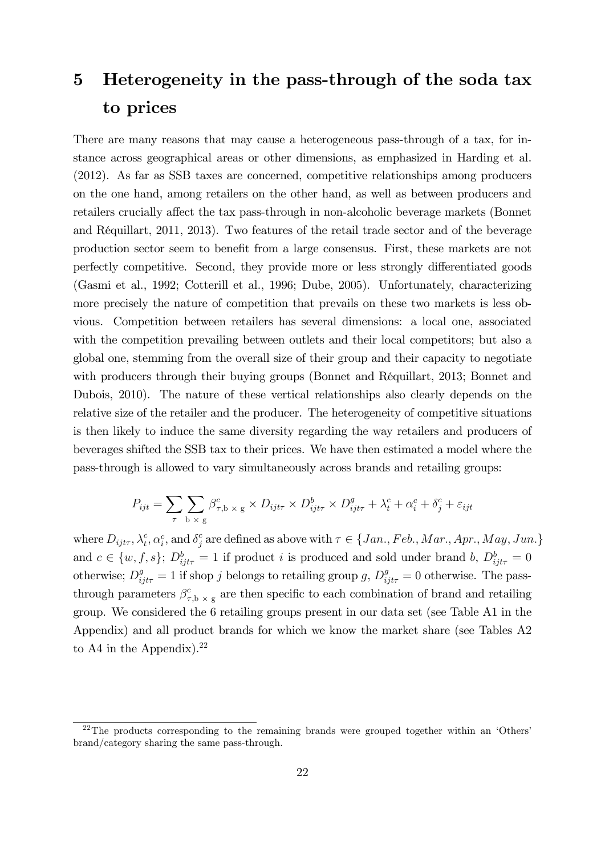# 5 Heterogeneity in the pass-through of the soda tax to prices

There are many reasons that may cause a heterogeneous pass-through of a tax, for instance across geographical areas or other dimensions, as emphasized in Harding et al. (2012). As far as SSB taxes are concerned, competitive relationships among producers on the one hand, among retailers on the other hand, as well as between producers and retailers crucially affect the tax pass-through in non-alcoholic beverage markets (Bonnet and RÈquillart, 2011, 2013). Two features of the retail trade sector and of the beverage production sector seem to benefit from a large consensus. First, these markets are not perfectly competitive. Second, they provide more or less strongly differentiated goods (Gasmi et al., 1992; Cotterill et al., 1996; Dube, 2005). Unfortunately, characterizing more precisely the nature of competition that prevails on these two markets is less obvious. Competition between retailers has several dimensions: a local one, associated with the competition prevailing between outlets and their local competitors; but also a global one, stemming from the overall size of their group and their capacity to negotiate with producers through their buying groups (Bonnet and Réquillart, 2013; Bonnet and Dubois, 2010). The nature of these vertical relationships also clearly depends on the relative size of the retailer and the producer. The heterogeneity of competitive situations is then likely to induce the same diversity regarding the way retailers and producers of beverages shifted the SSB tax to their prices. We have then estimated a model where the pass-through is allowed to vary simultaneously across brands and retailing groups:

$$
P_{ijt} = \sum_{\tau} \sum_{\mathbf{b} \times \mathbf{g}} \beta_{\tau, \mathbf{b} \times \mathbf{g}}^c \times D_{ijt\tau} \times D_{ijt\tau}^b \times D_{ijt\tau}^g + \lambda_t^c + \alpha_i^c + \delta_j^c + \varepsilon_{ijt}
$$

where  $D_{ijt\tau}$ ,  $\lambda_t^c$ ,  $\alpha_i^c$ , and  $\delta_j^c$  are defined as above with  $\tau \in \{Jan., Feb., Mar., Apr., May, Jun.\}$ and  $c \in \{w, f, s\}$ ;  $D_{ijt\tau}^b = 1$  if product i is produced and sold under brand b,  $D_{ijt\tau}^b = 0$ otherwise;  $D_{ijt\tau}^g = 1$  if shop j belongs to retailing group g,  $D_{ijt\tau}^g = 0$  otherwise. The passthrough parameters  $\beta_{\tau}^{c}$  $\epsilon_{\tau,b \times g}$  are then specific to each combination of brand and retailing group. We considered the 6 retailing groups present in our data set (see Table A1 in the Appendix) and all product brands for which we know the market share (see Tables A2 to A4 in the Appendix). $22$ 

<sup>&</sup>lt;sup>22</sup>The products corresponding to the remaining brands were grouped together within an 'Others' brand/category sharing the same pass-through.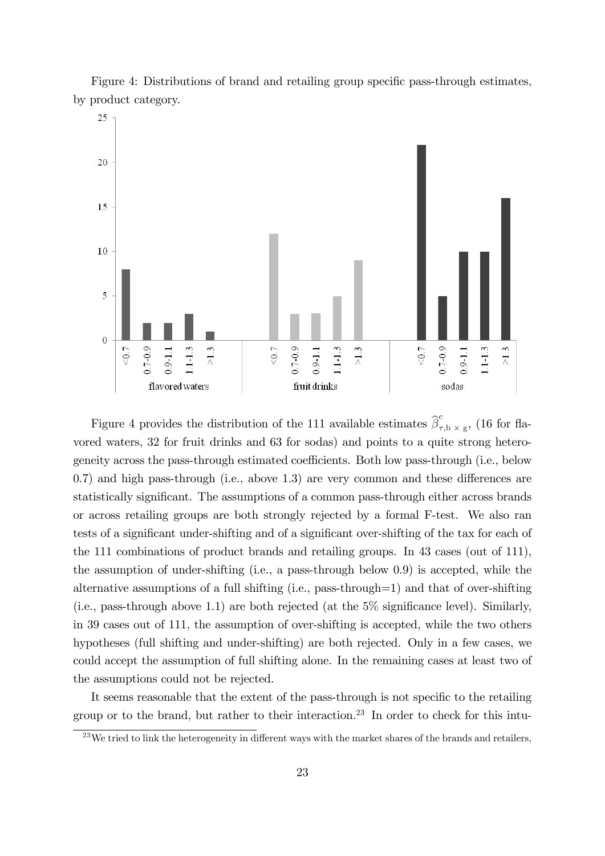Figure 4: Distributions of brand and retailing group specific pass-through estimates. by product category.



Figure 4 provides the distribution of the 111 available estimates  $\hat{\beta}_7^c$  $\int_{\tau,\mathbf{b}}^{\infty} \times \mathbf{g}$ , (16 for flavored waters, 32 for fruit drinks and 63 for sodas) and points to a quite strong heterogeneity across the pass-through estimated coefficients. Both low pass-through (i.e., below  $0.7$ ) and high pass-through (i.e., above 1.3) are very common and these differences are statistically significant. The assumptions of a common pass-through either across brands or across retailing groups are both strongly rejected by a formal F-test. We also ran tests of a significant under-shifting and of a significant over-shifting of the tax for each of the 111 combinations of product brands and retailing groups. In 43 cases (out of 111), the assumption of under-shifting (i.e., a pass-through below 0.9) is accepted, while the alternative assumptions of a full shifting (i.e., pass-through=1) and that of over-shifting (i.e., pass-through above 1.1) are both rejected (at the  $5\%$  significance level). Similarly, in 39 cases out of 111, the assumption of over-shifting is accepted, while the two others hypotheses (full shifting and under-shifting) are both rejected. Only in a few cases, we could accept the assumption of full shifting alone. In the remaining cases at least two of the assumptions could not be rejected.

It seems reasonable that the extent of the pass-through is not specific to the retailing group or to the brand, but rather to their interaction.<sup>23</sup> In order to check for this intu-

 $^{23}$ We tried to link the heterogeneity in different ways with the market shares of the brands and retailers,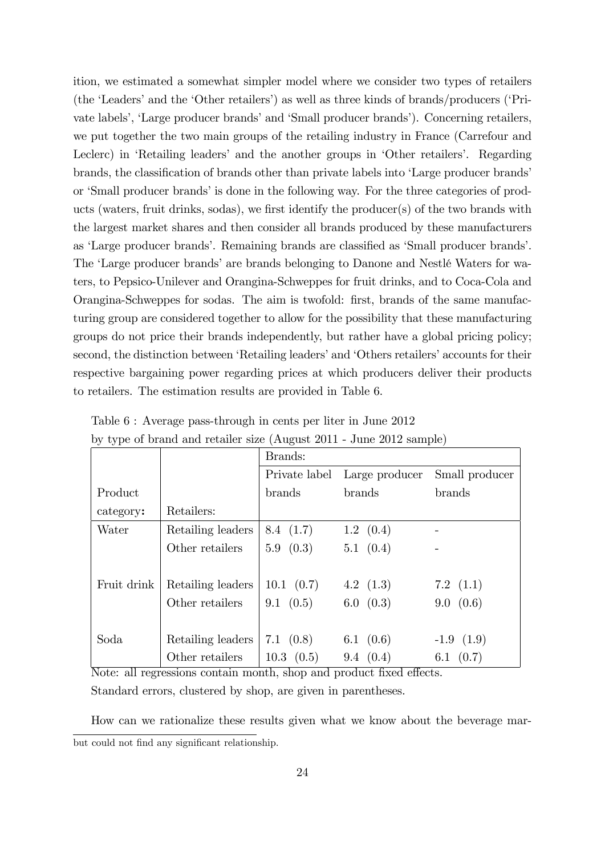ition, we estimated a somewhat simpler model where we consider two types of retailers (the 'Leaders' and the 'Other retailers') as well as three kinds of brands/producers ('Private labels', 'Large producer brands' and 'Small producer brands'). Concerning retailers, we put together the two main groups of the retailing industry in France (Carrefour and Leclerc) in 'Retailing leaders' and the another groups in 'Other retailers'. Regarding brands, the classification of brands other than private labels into 'Large producer brands' or 'Small producer brands' is done in the following way. For the three categories of products (waters, fruit drinks, sodas), we first identify the producer $(s)$  of the two brands with the largest market shares and then consider all brands produced by these manufacturers as 'Large producer brands'. Remaining brands are classified as 'Small producer brands'. The 'Large producer brands' are brands belonging to Danone and Nestlé Waters for waters, to Pepsico-Unilever and Orangina-Schweppes for fruit drinks, and to Coca-Cola and Orangina-Schweppes for sodas. The aim is twofold: first, brands of the same manufacturing group are considered together to allow for the possibility that these manufacturing groups do not price their brands independently, but rather have a global pricing policy; second, the distinction between 'Retailing leaders' and 'Others retailers' accounts for their respective bargaining power regarding prices at which producers deliver their products to retailers. The estimation results are provided in Table 6.

|             |                   | Brands:            |                   |                |
|-------------|-------------------|--------------------|-------------------|----------------|
|             |                   | Private label      | Large producer    | Small producer |
| Product     |                   | <b>brands</b>      | brands            | brands         |
| category:   | Retailers:        |                    |                   |                |
| Water       | Retailing leaders | 8.4(1.7)           | $1.2 \quad (0.4)$ |                |
|             | Other retailers   | $5.9 \quad (0.3)$  | $5.1 \quad (0.4)$ |                |
|             |                   |                    |                   |                |
| Fruit drink | Retailing leaders | $10.1 \quad (0.7)$ | 4.2 $(1.3)$       | 7.2 $(1.1)$    |
|             | Other retailers   | 9.1(0.5)           | 6.0 (0.3)         | 9.0 (0.6)      |
|             |                   |                    |                   |                |
| Soda        | Retailing leaders | 7.1 $(0.8)$        | 6.1 $(0.6)$       | $-1.9(1.9)$    |
|             | Other retailers   | $10.3 \quad (0.5)$ | 9.4(0.4)          | 6.1 $(0.7)$    |

Table 6 : Average pass-through in cents per liter in June 2012 by type of brand and retailer size (August 2011 - June 2012 sample)

Note: all regressions contain month, shop and product fixed effects. Standard errors, clustered by shop, are given in parentheses.

How can we rationalize these results given what we know about the beverage marbut could not find any significant relationship.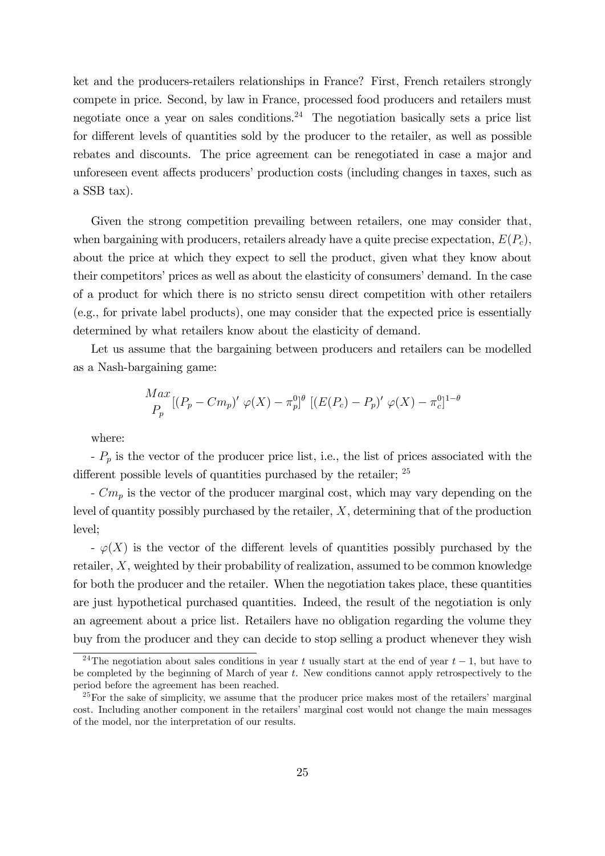ket and the producers-retailers relationships in France? First, French retailers strongly compete in price. Second, by law in France, processed food producers and retailers must negotiate once a year on sales conditions.<sup>24</sup> The negotiation basically sets a price list for different levels of quantities sold by the producer to the retailer, as well as possible rebates and discounts. The price agreement can be renegotiated in case a major and unforeseen event affects producers' production costs (including changes in taxes, such as a SSB tax).

Given the strong competition prevailing between retailers, one may consider that, when bargaining with producers, retailers already have a quite precise expectation,  $E(P_c)$ . about the price at which they expect to sell the product, given what they know about their competitors' prices as well as about the elasticity of consumers' demand. In the case of a product for which there is no stricto sensu direct competition with other retailers (e.g., for private label products), one may consider that the expected price is essentially determined by what retailers know about the elasticity of demand.

Let us assume that the bargaining between producers and retailers can be modelled as a Nash-bargaining game:

$$
\frac{Max}{P_p} [(P_p - Cm_p)' \varphi(X) - \pi_p^{0}]^{\theta} [(E(P_c) - P_p)' \varphi(X) - \pi_c^{0}]^{1-\theta}
$$

where:

 $-P_p$  is the vector of the producer price list, i.e., the list of prices associated with the different possible levels of quantities purchased by the retailer;  $25$ 

 $-Cm_p$  is the vector of the producer marginal cost, which may vary depending on the level of quantity possibly purchased by the retailer, X, determining that of the production level;

 $\varphi(X)$  is the vector of the different levels of quantities possibly purchased by the retailer, X, weighted by their probability of realization, assumed to be common knowledge for both the producer and the retailer. When the negotiation takes place, these quantities are just hypothetical purchased quantities. Indeed, the result of the negotiation is only an agreement about a price list. Retailers have no obligation regarding the volume they buy from the producer and they can decide to stop selling a product whenever they wish

<sup>&</sup>lt;sup>24</sup>The negotiation about sales conditions in year t usually start at the end of year  $t-1$ , but have to be completed by the beginning of March of year t. New conditions cannot apply retrospectively to the period before the agreement has been reached.

 $^{25}$  For the sake of simplicity, we assume that the producer price makes most of the retailers' marginal cost. Including another component in the retailers' marginal cost would not change the main messages of the model, nor the interpretation of our results.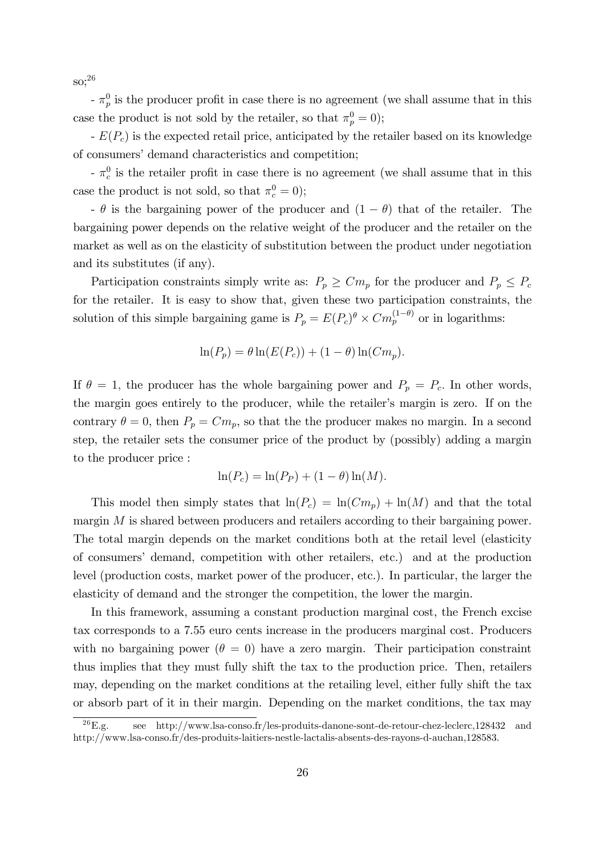so;<sup>26</sup>

 $-\pi_p^0$  is the producer profit in case there is no agreement (we shall assume that in this case the product is not sold by the retailer, so that  $\pi_p^0 = 0$ ;

 $-E(P_c)$  is the expected retail price, anticipated by the retailer based on its knowledge of consumers' demand characteristics and competition;

 $-\pi_c^0$  is the retailer profit in case there is no agreement (we shall assume that in this case the product is not sold, so that  $\pi_c^0 = 0$ );

-  $\theta$  is the bargaining power of the producer and  $(1 - \theta)$  that of the retailer. The bargaining power depends on the relative weight of the producer and the retailer on the market as well as on the elasticity of substitution between the product under negotiation and its substitutes (if any).

Participation constraints simply write as:  $P_p \geq C m_p$  for the producer and  $P_p \leq P_c$ for the retailer. It is easy to show that, given these two participation constraints, the solution of this simple bargaining game is  $P_p = E(P_c)^{\theta} \times Cm_p^{(1-\theta)}$  or in logarithms:

$$
\ln(P_p) = \theta \ln(E(P_c)) + (1 - \theta) \ln(Cm_p).
$$

If  $\theta = 1$ , the producer has the whole bargaining power and  $P_p = P_c$ . In other words, the margin goes entirely to the producer, while the retailer's margin is zero. If on the contrary  $\theta = 0$ , then  $P_p = Cm_p$ , so that the the producer makes no margin. In a second step, the retailer sets the consumer price of the product by (possibly) adding a margin to the producer price :

$$
\ln(P_c) = \ln(P_P) + (1 - \theta)\ln(M).
$$

This model then simply states that  $ln(P_c) = ln(Cm_p) + ln(M)$  and that the total margin  $M$  is shared between producers and retailers according to their bargaining power. The total margin depends on the market conditions both at the retail level (elasticity of consumersí demand, competition with other retailers, etc.) and at the production level (production costs, market power of the producer, etc.). In particular, the larger the elasticity of demand and the stronger the competition, the lower the margin.

In this framework, assuming a constant production marginal cost, the French excise tax corresponds to a 7.55 euro cents increase in the producers marginal cost. Producers with no bargaining power  $(\theta = 0)$  have a zero margin. Their participation constraint thus implies that they must fully shift the tax to the production price. Then, retailers may, depending on the market conditions at the retailing level, either fully shift the tax or absorb part of it in their margin. Depending on the market conditions, the tax may

 $^{26}E.g.$  see http://www.lsa-conso.fr/les-produits-danone-sont-de-retour-chez-leclerc,128432 and http://www.lsa-conso.fr/des-produits-laitiers-nestle-lactalis-absents-des-rayons-d-auchan,128583.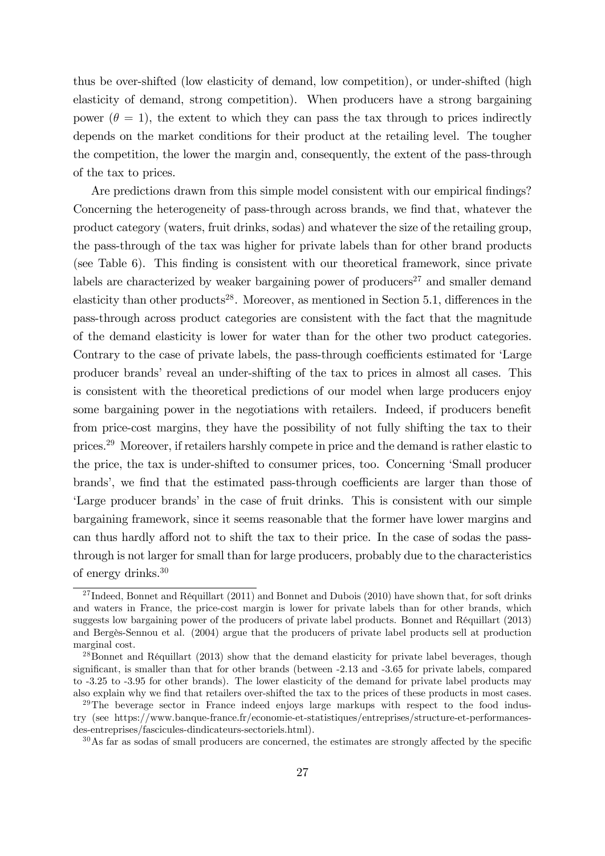thus be over-shifted (low elasticity of demand, low competition), or under-shifted (high elasticity of demand, strong competition). When producers have a strong bargaining power ( $\theta = 1$ ), the extent to which they can pass the tax through to prices indirectly depends on the market conditions for their product at the retailing level. The tougher the competition, the lower the margin and, consequently, the extent of the pass-through of the tax to prices.

Are predictions drawn from this simple model consistent with our empirical findings? Concerning the heterogeneity of pass-through across brands, we find that, whatever the product category (waters, fruit drinks, sodas) and whatever the size of the retailing group, the pass-through of the tax was higher for private labels than for other brand products (see Table 6). This finding is consistent with our theoretical framework, since private labels are characterized by weaker bargaining power of producers<sup>27</sup> and smaller demand elasticity than other products<sup>28</sup>. Moreover, as mentioned in Section 5.1, differences in the pass-through across product categories are consistent with the fact that the magnitude of the demand elasticity is lower for water than for the other two product categories. Contrary to the case of private labels, the pass-through coefficients estimated for 'Large producer brands' reveal an under-shifting of the tax to prices in almost all cases. This is consistent with the theoretical predictions of our model when large producers enjoy some bargaining power in the negotiations with retailers. Indeed, if producers benefit from price-cost margins, they have the possibility of not fully shifting the tax to their prices.<sup>29</sup> Moreover, if retailers harshly compete in price and the demand is rather elastic to the price, the tax is under-shifted to consumer prices, too. Concerning ëSmall producer brands', we find that the estimated pass-through coefficients are larger than those of Large producer brands' in the case of fruit drinks. This is consistent with our simple bargaining framework, since it seems reasonable that the former have lower margins and can thus hardly afford not to shift the tax to their price. In the case of sodas the passthrough is not larger for small than for large producers, probably due to the characteristics of energy drinks.<sup>30</sup>

<sup>&</sup>lt;sup>27</sup> Indeed, Bonnet and Réquillart (2011) and Bonnet and Dubois (2010) have shown that, for soft drinks and waters in France, the price-cost margin is lower for private labels than for other brands, which suggests low bargaining power of the producers of private label products. Bonnet and Réquillart (2013) and BergËs-Sennou et al. (2004) argue that the producers of private label products sell at production marginal cost.

<sup>&</sup>lt;sup>28</sup>Bonnet and Réquillart (2013) show that the demand elasticity for private label beverages, though significant, is smaller than that for other brands (between -2.13 and -3.65 for private labels, compared to -3.25 to -3.95 for other brands). The lower elasticity of the demand for private label products may also explain why we find that retailers over-shifted the tax to the prices of these products in most cases.

 $29$ The beverage sector in France indeed enjoys large markups with respect to the food industry (see https://www.banque-france.fr/economie-et-statistiques/entreprises/structure-et-performancesdes-entreprises/fascicules-dindicateurs-sectoriels.html).

 $30\,\text{As}$  far as sodas of small producers are concerned, the estimates are strongly affected by the specific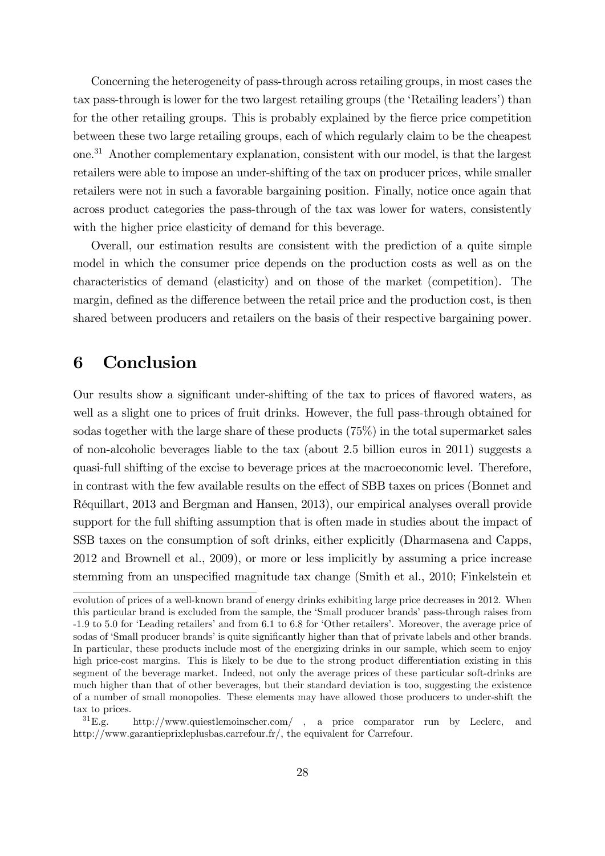Concerning the heterogeneity of pass-through across retailing groups, in most cases the tax pass-through is lower for the two largest retailing groups (the 'Retailing leaders') than for the other retailing groups. This is probably explained by the fierce price competition between these two large retailing groups, each of which regularly claim to be the cheapest one.<sup>31</sup> Another complementary explanation, consistent with our model, is that the largest retailers were able to impose an under-shifting of the tax on producer prices, while smaller retailers were not in such a favorable bargaining position. Finally, notice once again that across product categories the pass-through of the tax was lower for waters, consistently with the higher price elasticity of demand for this beverage.

Overall, our estimation results are consistent with the prediction of a quite simple model in which the consumer price depends on the production costs as well as on the characteristics of demand (elasticity) and on those of the market (competition). The margin, defined as the difference between the retail price and the production cost, is then shared between producers and retailers on the basis of their respective bargaining power.

### 6 Conclusion

Our results show a significant under-shifting of the tax to prices of flavored waters, as well as a slight one to prices of fruit drinks. However, the full pass-through obtained for sodas together with the large share of these products (75%) in the total supermarket sales of non-alcoholic beverages liable to the tax (about 2.5 billion euros in 2011) suggests a quasi-full shifting of the excise to beverage prices at the macroeconomic level. Therefore, in contrast with the few available results on the effect of SBB taxes on prices (Bonnet and Réquillart, 2013 and Bergman and Hansen, 2013), our empirical analyses overall provide support for the full shifting assumption that is often made in studies about the impact of SSB taxes on the consumption of soft drinks, either explicitly (Dharmasena and Capps, 2012 and Brownell et al., 2009), or more or less implicitly by assuming a price increase stemming from an unspecified magnitude tax change (Smith et al., 2010; Finkelstein et

evolution of prices of a well-known brand of energy drinks exhibiting large price decreases in 2012. When this particular brand is excluded from the sample, the 'Small producer brands' pass-through raises from -1.9 to 5.0 for 'Leading retailers' and from 6.1 to 6.8 for 'Other retailers'. Moreover, the average price of sodas of 'Small producer brands' is quite significantly higher than that of private labels and other brands. In particular, these products include most of the energizing drinks in our sample, which seem to enjoy high price-cost margins. This is likely to be due to the strong product differentiation existing in this segment of the beverage market. Indeed, not only the average prices of these particular soft-drinks are much higher than that of other beverages, but their standard deviation is too, suggesting the existence of a number of small monopolies. These elements may have allowed those producers to under-shift the tax to prices.

 ${}^{31}E.g.$  http://www.quiestlemoinscher.com/, a price comparator run by Leclerc, and http://www.garantieprixleplusbas.carrefour.fr/, the equivalent for Carrefour.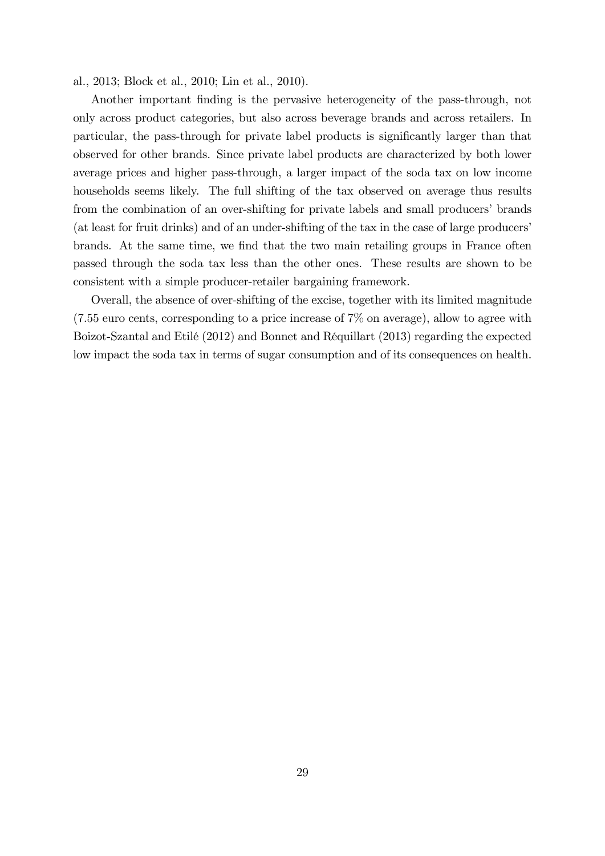al., 2013; Block et al., 2010; Lin et al., 2010).

Another important finding is the pervasive heterogeneity of the pass-through, not only across product categories, but also across beverage brands and across retailers. In particular, the pass-through for private label products is significantly larger than that observed for other brands. Since private label products are characterized by both lower average prices and higher pass-through, a larger impact of the soda tax on low income households seems likely. The full shifting of the tax observed on average thus results from the combination of an over-shifting for private labels and small producers' brands (at least for fruit drinks) and of an under-shifting of the tax in the case of large producersí brands. At the same time, we find that the two main retailing groups in France often passed through the soda tax less than the other ones. These results are shown to be consistent with a simple producer-retailer bargaining framework.

Overall, the absence of over-shifting of the excise, together with its limited magnitude (7.55 euro cents, corresponding to a price increase of 7% on average), allow to agree with Boizot-Szantal and Etilé (2012) and Bonnet and Réquillart (2013) regarding the expected low impact the soda tax in terms of sugar consumption and of its consequences on health.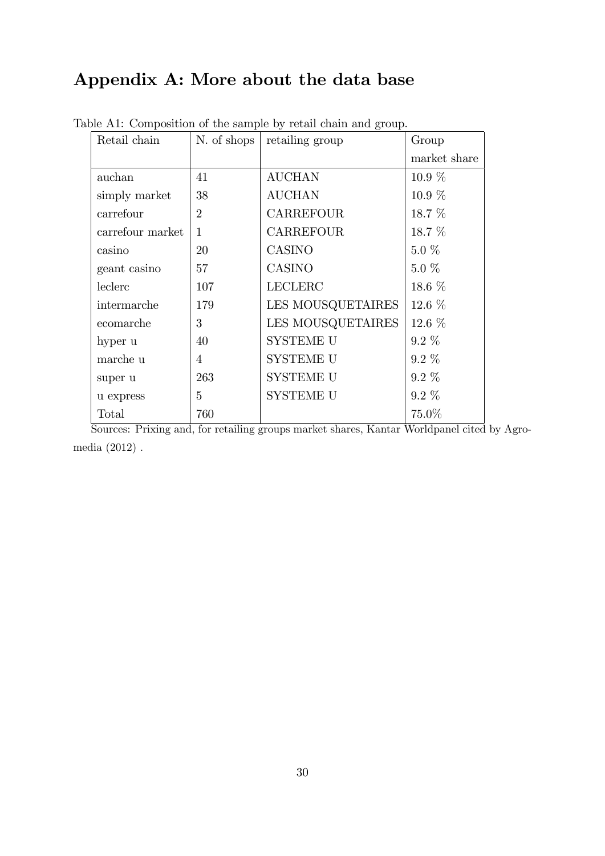### Appendix A: More about the data base

| Retail chain     | N. of shops    | retailing group   | Group        |
|------------------|----------------|-------------------|--------------|
|                  |                |                   | market share |
| auchan           | 41             | <b>AUCHAN</b>     | $10.9\%$     |
| simply market    | 38             | <b>AUCHAN</b>     | $10.9\%$     |
| carrefour        | $\overline{2}$ | <b>CARREFOUR</b>  | 18.7 %       |
| carrefour market | 1              | <b>CARREFOUR</b>  | 18.7 %       |
| casino           | 20             | <b>CASINO</b>     | $5.0\%$      |
| geant casino     | 57             | CASINO            | $5.0\%$      |
| leclerc          | 107            | <b>LECLERC</b>    | 18.6 $%$     |
| intermarche      | 179            | LES MOUSQUETAIRES | $12.6\%$     |
| ecomarche        | 3              | LES MOUSQUETAIRES | $12.6\%$     |
| hyper u          | 40             | <b>SYSTEME U</b>  | $9.2\%$      |
| marche u         | 4              | <b>SYSTEME U</b>  | $9.2\%$      |
| super u          | 263            | <b>SYSTEME U</b>  | $9.2\%$      |
| u express        | 5              | SYSTEME U         | $9.2\%$      |
| Total            | 760            |                   | 75.0%        |

Table A1: Composition of the sample by retail chain and group.

Sources: Prixing and, for retailing groups market shares, Kantar Worldpanel cited by Agromedia (2012) .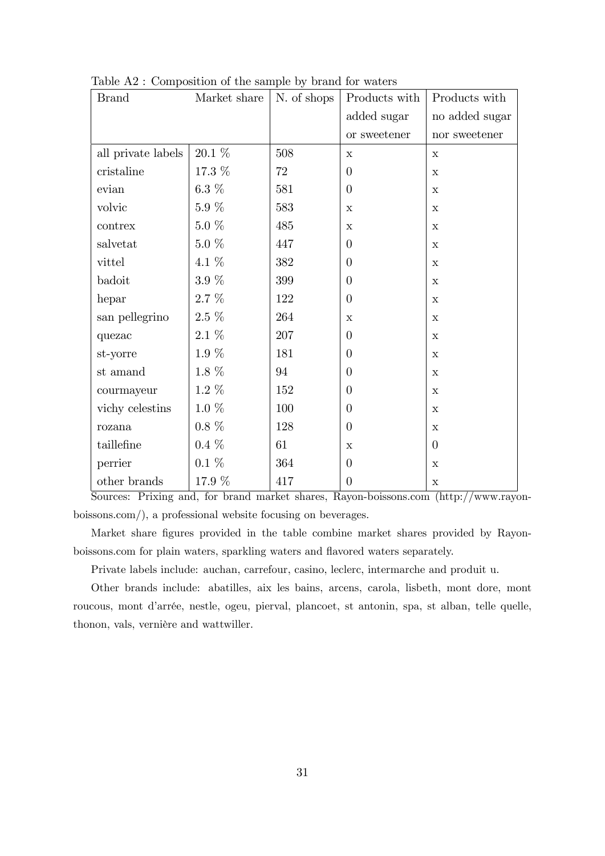| <b>Brand</b>       | Market share | N. of shops | Products with  | Products with  |
|--------------------|--------------|-------------|----------------|----------------|
|                    |              |             | added sugar    | no added sugar |
|                    |              |             | or sweetener   | nor sweetener  |
| all private labels | 20.1 %       | 508         | $\mathbf x$    | $\mathbf X$    |
| cristaline         | 17.3 %       | 72          | $\overline{0}$ | $\mathbf X$    |
| evian              | $6.3\%$      | 581         | $\overline{0}$ | $\mathbf x$    |
| volvic             | $5.9\%$      | 583         | $\mathbf x$    | $\mathbf X$    |
| contrex            | $5.0\%$      | 485         | $\mathbf X$    | $\mathbf X$    |
| salvetat           | $5.0~\%$     | 447         | $\theta$       | $\mathbf x$    |
| vittel             | 4.1 %        | 382         | $\overline{0}$ | $\mathbf X$    |
| badoit             | $3.9~\%$     | 399         | $\overline{0}$ | $\mathbf x$    |
| hepar              | $2.7\%$      | 122         | $\theta$       | $\mathbf X$    |
| san pellegrino     | $2.5\%$      | 264         | $\mathbf x$    | $\mathbf X$    |
| quezac             | $2.1~\%$     | 207         | $\overline{0}$ | $\mathbf x$    |
| st-yorre           | $1.9\%$      | 181         | $\theta$       | $\mathbf X$    |
| st amand           | $1.8~\%$     | 94          | $\overline{0}$ | $\mathbf X$    |
| courmayeur         | $1.2\%$      | 152         | $\theta$       | $\mathbf X$    |
| vichy celestins    | $1.0\%$      | 100         | $\overline{0}$ | $\mathbf x$    |
| rozana             | $0.8\%$      | 128         | $\theta$       | $\mathbf X$    |
| taillefine         | $0.4\%$      | 61          | $\mathbf x$    | $\theta$       |
| perrier            | $0.1~\%$     | 364         | $\theta$       | $\mathbf X$    |
| other brands       | 17.9 %       | 417         | $\theta$       | $\mathbf X$    |

Table A2 : Composition of the sample by brand for waters

Sources: Prixing and, for brand market shares, Rayon-boissons.com (http://www.rayonboissons.com/), a professional website focusing on beverages.

Market share figures provided in the table combine market shares provided by Rayonboissons.com for plain waters, sparkling waters and flavored waters separately.

Private labels include: auchan, carrefour, casino, leclerc, intermarche and produit u.

Other brands include: abatilles, aix les bains, arcens, carola, lisbeth, mont dore, mont roucous, mont d'arrée, nestle, ogeu, pierval, plancoet, st antonin, spa, st alban, telle quelle, thonon, vals, vernière and wattwiller.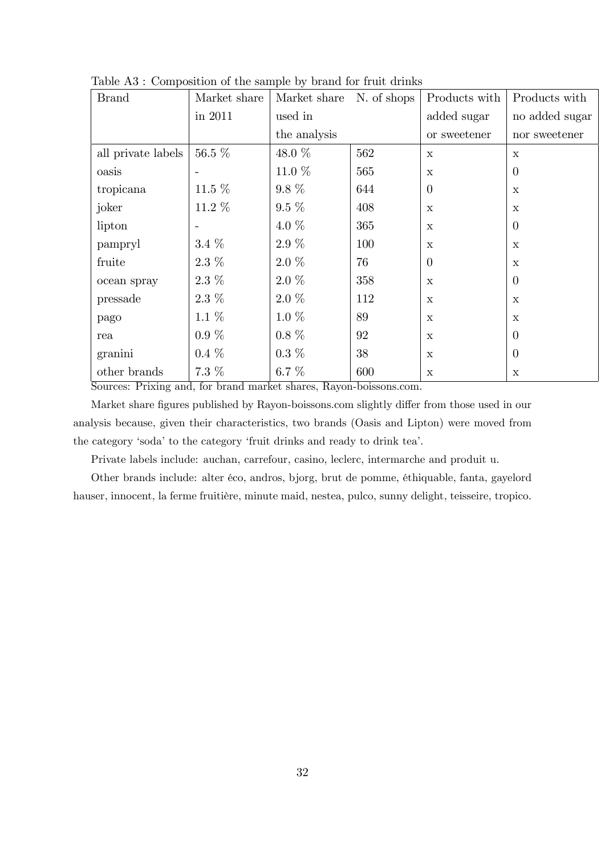| <b>Brand</b>       | Market share | Market share | Products with<br>N. of shops |              | Products with                  |
|--------------------|--------------|--------------|------------------------------|--------------|--------------------------------|
|                    | in 2011      | used in      |                              | added sugar  | no added sugar                 |
|                    |              | the analysis |                              | or sweetener | $\operatorname{nor}$ sweetener |
| all private labels | 56.5 %       | 48.0 %       | 562                          | $\mathbf x$  | $\mathbf x$                    |
| oasis              |              | 11.0 $%$     | 565                          | $\mathbf X$  | $\theta$                       |
| tropicana          | 11.5 $%$     | $9.8\%$      | 644                          | $\theta$     | $\mathbf x$                    |
| joker              | 11.2 %       | $9.5\%$      | 408                          | $\mathbf x$  | $\mathbf x$                    |
| lipton             |              | 4.0 $%$      | 365                          | $\mathbf X$  | $\theta$                       |
| pampryl            | $3.4~\%$     | $2.9\%$      | 100                          | $\mathbf X$  | $\mathbf x$                    |
| fruite             | $2.3\%$      | $2.0\%$      | 76                           | $\theta$     | $\mathbf x$                    |
| ocean spray        | $2.3~\%$     | $2.0\%$      | 358                          | $\mathbf x$  | $\theta$                       |
| pressade           | $2.3\%$      | $2.0\%$      | 112                          | $\mathbf x$  | $\mathbf x$                    |
| pago               | $1.1\%$      | $1.0\%$      | 89                           | $\mathbf X$  | $\mathbf x$                    |
| rea                | $0.9~\%$     | $0.8\%$      | 92                           | $\mathbf X$  | $\theta$                       |
| granini            | $0.4\%$      | $0.3\%$      | 38                           | $\mathbf x$  | $\theta$                       |
| other brands       | 7.3 %        | $6.7~\%$     | 600                          | $\mathbf X$  | $\mathbf X$                    |

Table A3 : Composition of the sample by brand for fruit drinks

Sources: Prixing and, for brand market shares, Rayon-boissons.com.

Market share figures published by Rayon-boissons.com slightly differ from those used in our analysis because, given their characteristics, two brands (Oasis and Lipton) were moved from the category 'soda' to the category 'fruit drinks and ready to drink tea'.

Private labels include: auchan, carrefour, casino, leclerc, intermarche and produit u.

Other brands include: alter éco, andros, bjorg, brut de pomme, éthiquable, fanta, gayelord hauser, innocent, la ferme fruitière, minute maid, nestea, pulco, sunny delight, teisseire, tropico.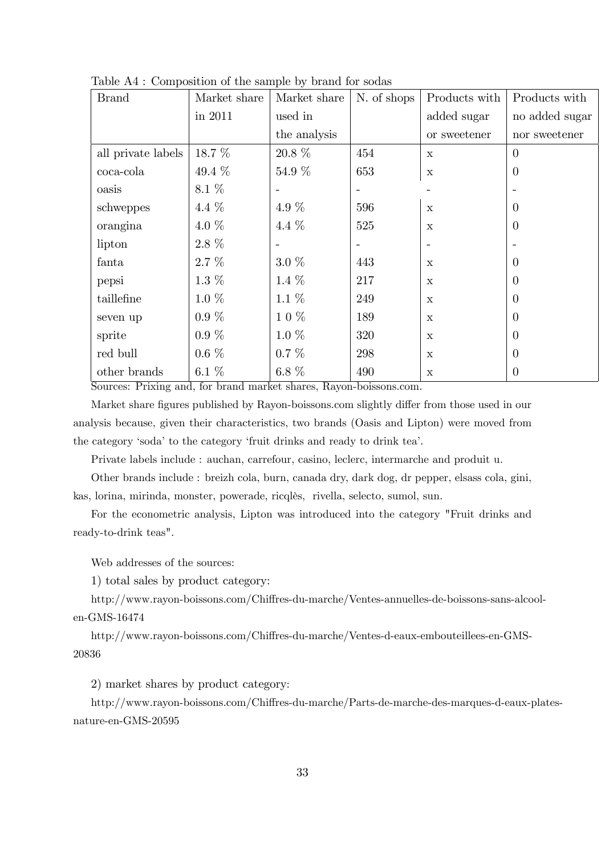| <b>Brand</b>       | Market share | Market share | N. of shops     | Products with            | Products with  |
|--------------------|--------------|--------------|-----------------|--------------------------|----------------|
|                    | in 2011      | used in      |                 | added sugar              | no added sugar |
|                    |              | the analysis |                 | or sweetener             | nor sweetener  |
| all private labels | 18.7 %       | 20.8 %       | 454             | $\mathbf x$              | $\theta$       |
| coca-cola          | 49.4 $%$     | 54.9 %       | 653             | $\mathbf x$              | $\theta$       |
| oasis              | 8.1 %        |              |                 |                          |                |
| schweppes          | 4.4 \%       | 4.9 %        | 596             | $\mathbf x$              | $\mathbf{0}$   |
| orangina           | 4.0 $%$      | 4.4 %        | 525             | $\mathbf X$              | $\theta$       |
| lipton             | 2.8 %        |              | $\qquad \qquad$ | $\overline{\phantom{a}}$ |                |
| fanta              | $2.7\%$      | $3.0\%$      | 443             | $\mathbf x$              | $\Omega$       |
| pepsi              | $1.3\%$      | 1.4 $%$      | 217             | $\mathbf X$              | $\mathbf{0}$   |
| taillefine         | $1.0\%$      | $1.1\ \%$    | 249             | $\mathbf x$              | 0              |
| seven up           | $0.9\%$      | 10%          | 189             | $\mathbf x$              | $\mathbf{0}$   |
| sprite             | $0.9\%$      | $1.0\%$      | 320             | $\mathbf X$              | $\mathbf{0}$   |
| red bull           | $0.6\%$      | $0.7~\%$     | 298             | $\mathbf x$              | $\mathbf{0}$   |
| other brands       | 6.1 $%$      | 6.8 $%$      | 490             | $\mathbf X$              | $\theta$       |

Table A4 : Composition of the sample by brand for sodas

Sources: Prixing and, for brand market shares, Rayon-boissons.com.

Market share figures published by Rayon-boissons.com slightly differ from those used in our analysis because, given their characteristics, two brands (Oasis and Lipton) were moved from the category 'soda' to the category 'fruit drinks and ready to drink tea'.

Private labels include : auchan, carrefour, casino, leclerc, intermarche and produit u.

Other brands include : breizh cola, burn, canada dry, dark dog, dr pepper, elsass cola, gini, kas, lorina, mirinda, monster, powerade, ricqlès, rivella, selecto, sumol, sun.

For the econometric analysis, Lipton was introduced into the category "Fruit drinks and ready-to-drink teas".

Web addresses of the sources:

1) total sales by product category:

http://www.rayon-boissons.com/Chiffres-du-marche/Ventes-annuelles-de-boissons-sans-alcoolen-GMS-16474

http://www.rayon-boissons.com/Chiffres-du-marche/Ventes-d-eaux-embouteillees-en-GMS-20836

2) market shares by product category:

http://www.rayon-boissons.com/Chiffres-du-marche/Parts-de-marche-des-marques-d-eaux-platesnature-en-GMS-20595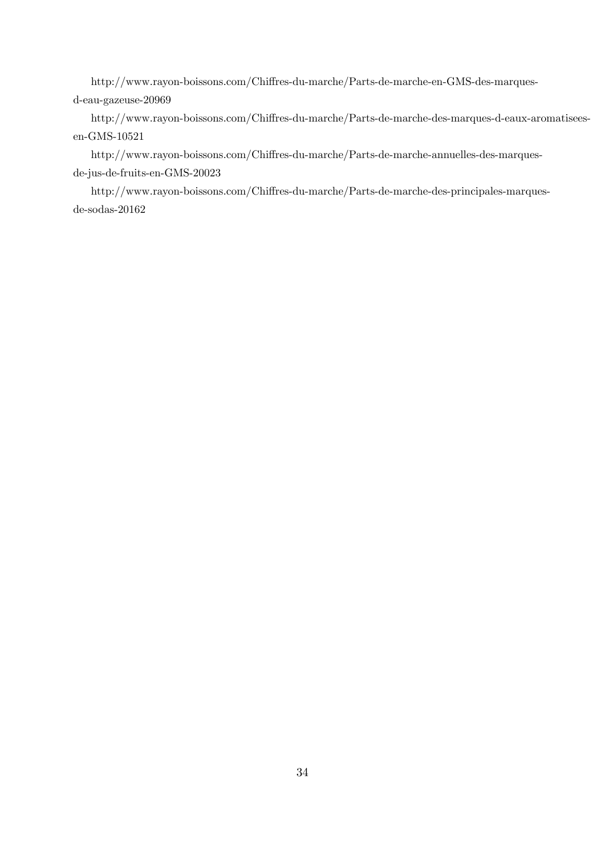http://www.rayon-boissons.com/Chiffres-du-marche/Parts-de-marche-en-GMS-des-marquesd-eau-gazeuse-20969

http://www.rayon-boissons.com/Chiffres-du-marche/Parts-de-marche-des-marques-d-eaux-aromatiseesen-GMS-10521

http://www.rayon-boissons.com/Chiffres-du-marche/Parts-de-marche-annuelles-des-marquesde-jus-de-fruits-en-GMS-20023

http://www.rayon-boissons.com/Chiffres-du-marche/Parts-de-marche-des-principales-marquesde-sodas-20162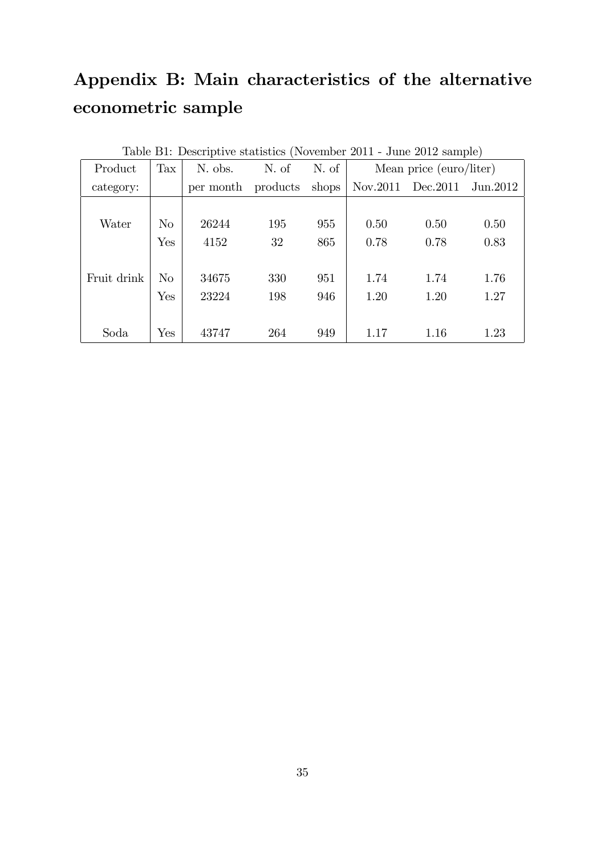# Appendix B: Main characteristics of the alternative econometric sample

|             | Table B1: Descriptive statistics (November 2011 - June 2012 sample) |           |          |       |                         |                   |           |  |  |  |
|-------------|---------------------------------------------------------------------|-----------|----------|-------|-------------------------|-------------------|-----------|--|--|--|
| Product     | Tax                                                                 | N. obs.   | N. of    | N. of | Mean price (euro/liter) |                   |           |  |  |  |
| category:   |                                                                     | per month | products | shops |                         | Nov.2011 Dec.2011 | Jun. 2012 |  |  |  |
|             |                                                                     |           |          |       |                         |                   |           |  |  |  |
| Water       | $\rm No$                                                            | 26244     | 195      | 955   | 0.50                    | 0.50              | 0.50      |  |  |  |
|             | Yes                                                                 | 4152      | 32       | 865   | 0.78                    | 0.78              | 0.83      |  |  |  |
|             |                                                                     |           |          |       |                         |                   |           |  |  |  |
| Fruit drink | No                                                                  | 34675     | 330      | 951   | 1.74                    | 1.74              | 1.76      |  |  |  |
|             | Yes                                                                 | 23224     | 198      | 946   | 1.20                    | 1.20              | 1.27      |  |  |  |
|             |                                                                     |           |          |       |                         |                   |           |  |  |  |
| Soda        | Yes                                                                 | 43747     | 264      | 949   | 1.17                    | 1.16              | 1.23      |  |  |  |

 $T<sub>11</sub>$ : D<sub>1</sub>: Descriptive statistics (N<sub>ovember</sub> 2011 - June 2010 sample)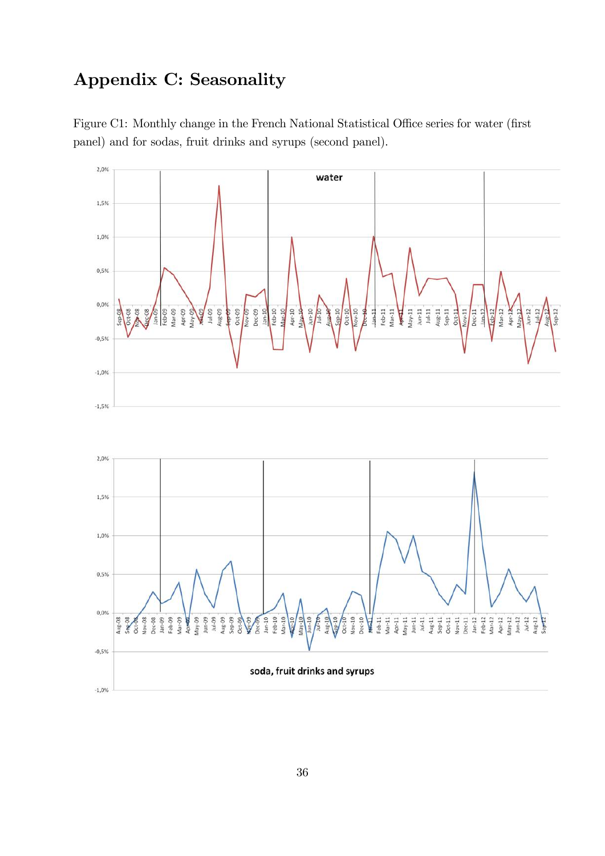### Appendix C: Seasonality



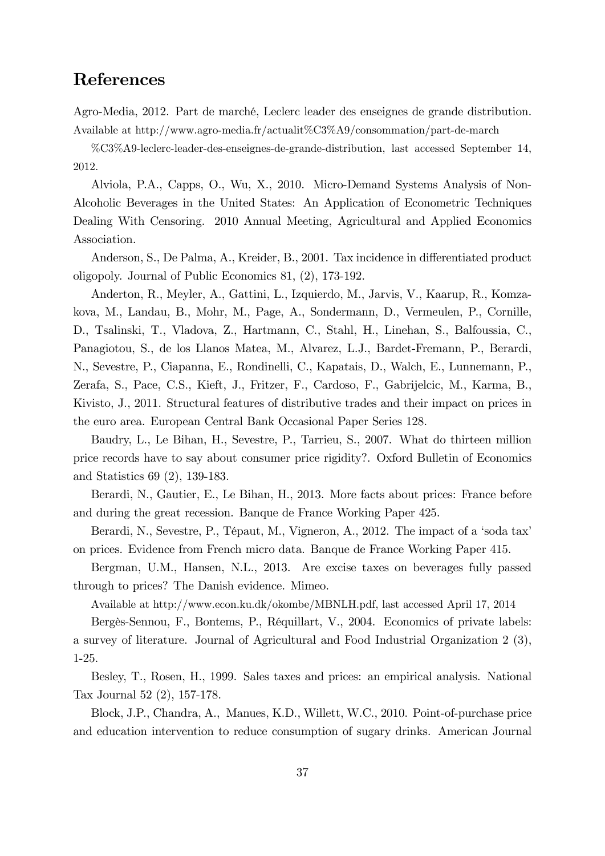### References

Agro-Media, 2012. Part de marché, Leclerc leader des enseignes de grande distribution. Available at http://www.agro-media.fr/actualit%C3%A9/consommation/part-de-march

%C3%A9-leclerc-leader-des-enseignes-de-grande-distribution, last accessed September 14, 2012.

Alviola, P.A., Capps, O., Wu, X., 2010. Micro-Demand Systems Analysis of Non-Alcoholic Beverages in the United States: An Application of Econometric Techniques Dealing With Censoring. 2010 Annual Meeting, Agricultural and Applied Economics Association.

Anderson, S., De Palma, A., Kreider, B., 2001. Tax incidence in differentiated product oligopoly. Journal of Public Economics 81, (2), 173-192.

Anderton, R., Meyler, A., Gattini, L., Izquierdo, M., Jarvis, V., Kaarup, R., Komzakova, M., Landau, B., Mohr, M., Page, A., Sondermann, D., Vermeulen, P., Cornille, D., Tsalinski, T., Vladova, Z., Hartmann, C., Stahl, H., Linehan, S., Balfoussia, C., Panagiotou, S., de los Llanos Matea, M., Alvarez, L.J., Bardet-Fremann, P., Berardi, N., Sevestre, P., Ciapanna, E., Rondinelli, C., Kapatais, D., Walch, E., Lunnemann, P., Zerafa, S., Pace, C.S., Kieft, J., Fritzer, F., Cardoso, F., Gabrijelcic, M., Karma, B., Kivisto, J., 2011. Structural features of distributive trades and their impact on prices in the euro area. European Central Bank Occasional Paper Series 128.

Baudry, L., Le Bihan, H., Sevestre, P., Tarrieu, S., 2007. What do thirteen million price records have to say about consumer price rigidity?. Oxford Bulletin of Economics and Statistics 69 (2), 139-183.

Berardi, N., Gautier, E., Le Bihan, H., 2013. More facts about prices: France before and during the great recession. Banque de France Working Paper 425.

Berardi, N., Sevestre, P., Tépaut, M., Vigneron, A., 2012. The impact of a 'soda tax' on prices. Evidence from French micro data. Banque de France Working Paper 415.

Bergman, U.M., Hansen, N.L., 2013. Are excise taxes on beverages fully passed through to prices? The Danish evidence. Mimeo.

Available at http://www.econ.ku.dk/okombe/MBNLH.pdf, last accessed April 17, 2014

Bergès-Sennou, F., Bontems, P., Réquillart, V., 2004. Economics of private labels: a survey of literature. Journal of Agricultural and Food Industrial Organization 2 (3), 1-25.

Besley, T., Rosen, H., 1999. Sales taxes and prices: an empirical analysis. National Tax Journal 52 (2), 157-178.

Block, J.P., Chandra, A., Manues, K.D., Willett, W.C., 2010. Point-of-purchase price and education intervention to reduce consumption of sugary drinks. American Journal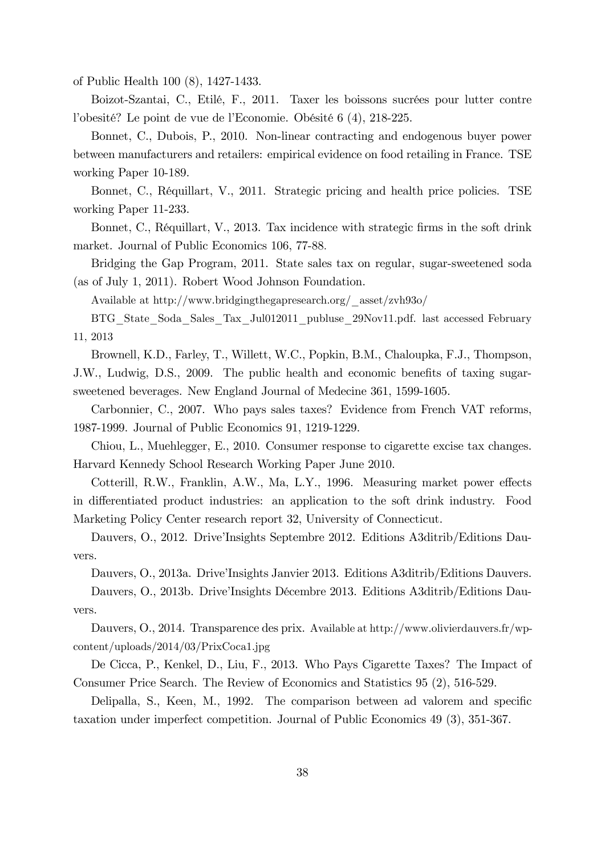of Public Health 100 (8), 1427-1433.

Boizot-Szantai, C., Etilé, F., 2011. Taxer les boissons sucrées pour lutter contre l'obesité? Le point de vue de l'Economie. Obésité 6 (4), 218-225.

Bonnet, C., Dubois, P., 2010. Non-linear contracting and endogenous buyer power between manufacturers and retailers: empirical evidence on food retailing in France. TSE working Paper 10-189.

Bonnet, C., RÈquillart, V., 2011. Strategic pricing and health price policies. TSE working Paper 11-233.

Bonnet, C., Réquillart, V., 2013. Tax incidence with strategic firms in the soft drink market. Journal of Public Economics 106, 77-88:

Bridging the Gap Program, 2011. State sales tax on regular, sugar-sweetened soda (as of July 1, 2011). Robert Wood Johnson Foundation.

Available at http://www.bridgingthegapresearch.org/\_asset/zvh93o/

BTG\_State\_Soda\_Sales\_Tax\_Jul012011\_publuse\_29Nov11.pdf. last accessed February 11, 2013

Brownell, K.D., Farley, T., Willett, W.C., Popkin, B.M., Chaloupka, F.J., Thompson, J.W., Ludwig, D.S., 2009. The public health and economic benefits of taxing sugarsweetened beverages. New England Journal of Medecine 361, 1599-1605.

Carbonnier, C., 2007. Who pays sales taxes? Evidence from French VAT reforms, 1987-1999. Journal of Public Economics 91, 1219-1229.

Chiou, L., Muehlegger, E., 2010. Consumer response to cigarette excise tax changes. Harvard Kennedy School Research Working Paper June 2010.

Cotterill, R.W., Franklin, A.W., Ma, L.Y., 1996. Measuring market power effects in differentiated product industries: an application to the soft drink industry. Food Marketing Policy Center research report 32, University of Connecticut.

Dauvers, O., 2012. Drive'Insights Septembre 2012. Editions A3ditrib/Editions Dauvers.

Dauvers, O., 2013a. Drive'Insights Janvier 2013. Editions A3ditrib/Editions Dauvers.

Dauvers, O., 2013b. Drive'Insights Décembre 2013. Editions A3ditrib/Editions Dauvers.

Dauvers, O., 2014. Transparence des prix. Available at http://www.olivierdauvers.fr/wpcontent/uploads/2014/03/PrixCoca1.jpg

De Cicca, P., Kenkel, D., Liu, F., 2013. Who Pays Cigarette Taxes? The Impact of Consumer Price Search. The Review of Economics and Statistics 95 (2), 516-529.

Delipalla, S., Keen, M., 1992. The comparison between ad valorem and specific taxation under imperfect competition. Journal of Public Economics 49 (3), 351-367.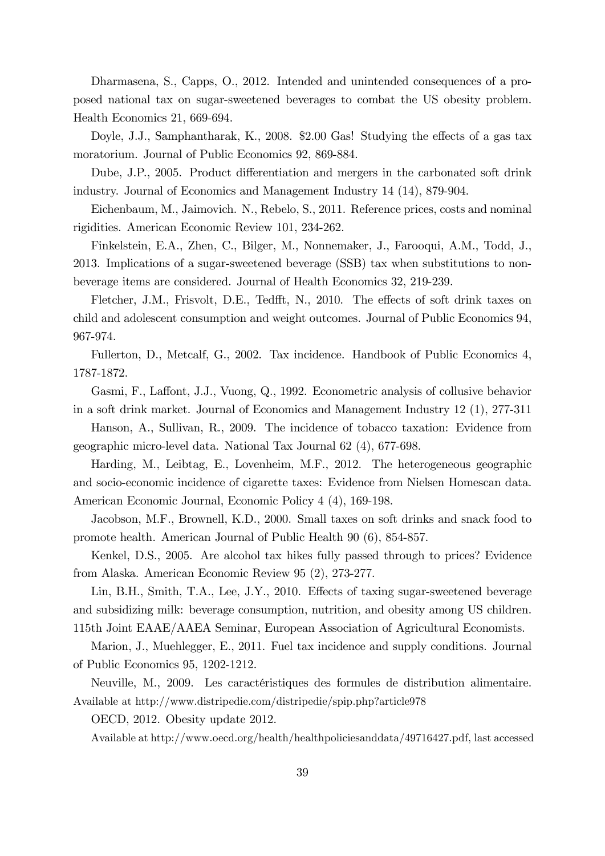Dharmasena, S., Capps, O., 2012. Intended and unintended consequences of a proposed national tax on sugar-sweetened beverages to combat the US obesity problem. Health Economics 21, 669-694.

Doyle, J.J., Samphantharak, K., 2008.  $$2.00$  Gas! Studying the effects of a gas tax moratorium. Journal of Public Economics 92, 869-884.

Dube, J.P., 2005. Product differentiation and mergers in the carbonated soft drink industry. Journal of Economics and Management Industry 14 (14), 879-904.

Eichenbaum, M., Jaimovich. N., Rebelo, S., 2011. Reference prices, costs and nominal rigidities. American Economic Review 101, 234-262.

Finkelstein, E.A., Zhen, C., Bilger, M., Nonnemaker, J., Farooqui, A.M., Todd, J., 2013. Implications of a sugar-sweetened beverage (SSB) tax when substitutions to nonbeverage items are considered. Journal of Health Economics 32, 219-239.

Fletcher, J.M., Frisvolt, D.E., Tedfft, N., 2010. The effects of soft drink taxes on child and adolescent consumption and weight outcomes. Journal of Public Economics 94, 967-974.

Fullerton, D., Metcalf, G., 2002. Tax incidence. Handbook of Public Economics 4, 1787-1872.

Gasmi, F., Laffont, J.J., Vuong, Q., 1992. Econometric analysis of collusive behavior in a soft drink market. Journal of Economics and Management Industry 12 (1), 277-311

Hanson, A., Sullivan, R., 2009. The incidence of tobacco taxation: Evidence from geographic micro-level data. National Tax Journal 62 (4), 677-698.

Harding, M., Leibtag, E., Lovenheim, M.F., 2012. The heterogeneous geographic and socio-economic incidence of cigarette taxes: Evidence from Nielsen Homescan data. American Economic Journal, Economic Policy 4 (4), 169-198.

Jacobson, M.F., Brownell, K.D., 2000. Small taxes on soft drinks and snack food to promote health. American Journal of Public Health 90 (6), 854-857.

Kenkel, D.S., 2005. Are alcohol tax hikes fully passed through to prices? Evidence from Alaska. American Economic Review 95 (2), 273-277.

Lin, B.H., Smith, T.A., Lee, J.Y., 2010. Effects of taxing sugar-sweetened beverage and subsidizing milk: beverage consumption, nutrition, and obesity among US children. 115th Joint EAAE/AAEA Seminar, European Association of Agricultural Economists.

Marion, J., Muehlegger, E., 2011. Fuel tax incidence and supply conditions. Journal of Public Economics 95, 1202-1212.

Neuville, M., 2009. Les caractéristiques des formules de distribution alimentaire. Available at http://www.distripedie.com/distripedie/spip.php?article978

OECD, 2012. Obesity update 2012.

Available at http://www.oecd.org/health/healthpoliciesanddata/49716427.pdf, last accessed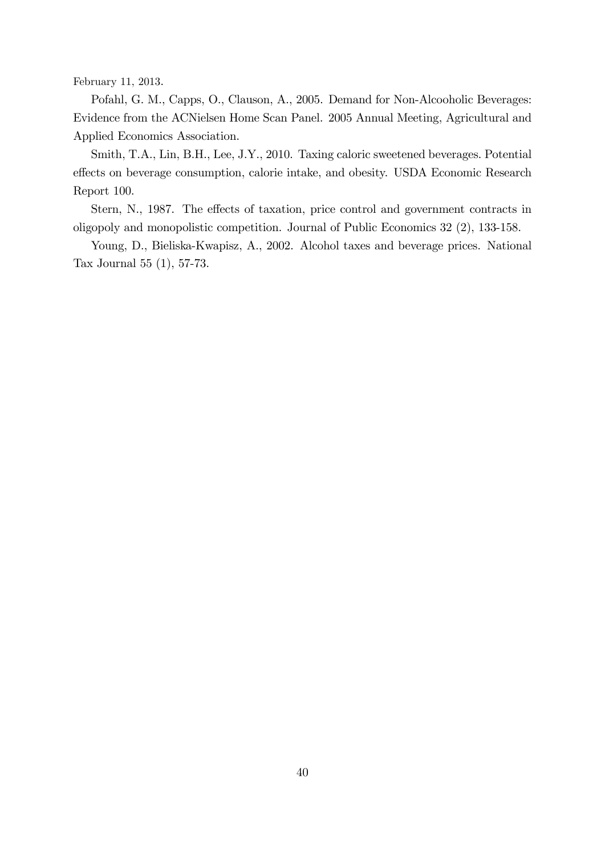February 11, 2013.

Pofahl, G. M., Capps, O., Clauson, A., 2005. Demand for Non-Alcooholic Beverages: Evidence from the ACNielsen Home Scan Panel. 2005 Annual Meeting, Agricultural and Applied Economics Association.

Smith, T.A., Lin, B.H., Lee, J.Y., 2010. Taxing caloric sweetened beverages. Potential effects on beverage consumption, calorie intake, and obesity. USDA Economic Research Report 100.

Stern, N., 1987. The effects of taxation, price control and government contracts in oligopoly and monopolistic competition. Journal of Public Economics 32 (2), 133-158.

Young, D., Bieliska-Kwapisz, A., 2002. Alcohol taxes and beverage prices. National Tax Journal 55 (1), 57-73.